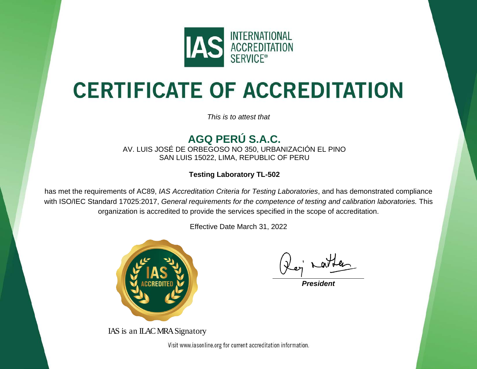

# **CERTIFICATE OF ACCREDITATION**

*This is to attest that*

#### **AGQ PERÚ S.A.C.**

AV. LUIS JOSÉ DE ORBEGOSO NO 350, URBANIZACIÓN EL PINO SAN LUIS 15022, LIMA, REPUBLIC OF PERU

**Testing Laboratory TL-502**

has met the requirements of AC89, *IAS Accreditation Criteria for Testing Laboratories*, and has demonstrated compliance with ISO/IEC Standard 17025:2017, *General requirements for the competence of testing and calibration laboratories.* This organization is accredited to provide the services specified in the scope of accreditation.

Effective Date March 31, 2022



IAS is an ILAC MRA Signatory

*President*

Visit www.iasonline.org for current accreditation information.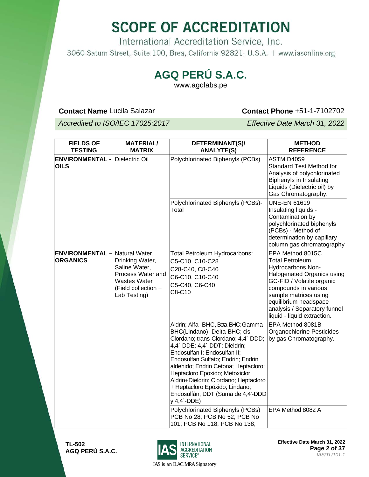International Accreditation Service, Inc. 3060 Saturn Street, Suite 100, Brea, California 92821, U.S.A. | www.iasonline.org

#### **AGQ PERÚ S.A.C.**

www.agqlabs.pe

**Contact Name** Lucila Salazar **Contact Phone +51-1-7102702** 

*Accredited to ISO/IEC 17025:2017 Effective Date March 31, 2022*

| <b>FIELDS OF</b><br><b>TESTING</b>                       | <b>MATERIAL/</b><br><b>MATRIX</b>                                                                                   | DETERMINANT(S)/<br><b>ANALYTE(S)</b>                                                                                                                                                                                                                                                                                                                                                                                                 | <b>METHOD</b><br><b>REFERENCE</b>                                                                                                                                                                                                                                          |
|----------------------------------------------------------|---------------------------------------------------------------------------------------------------------------------|--------------------------------------------------------------------------------------------------------------------------------------------------------------------------------------------------------------------------------------------------------------------------------------------------------------------------------------------------------------------------------------------------------------------------------------|----------------------------------------------------------------------------------------------------------------------------------------------------------------------------------------------------------------------------------------------------------------------------|
| <b>ENVIRONMENTAL - Dielectric Oil</b><br><b>OILS</b>     |                                                                                                                     | Polychlorinated Biphenyls (PCBs)                                                                                                                                                                                                                                                                                                                                                                                                     | <b>ASTM D4059</b><br><b>Standard Test Method for</b><br>Analysis of polychlorinated<br>Biphenyls in Insulating<br>Liquids (Dielectric oil) by<br>Gas Chromatography.                                                                                                       |
|                                                          |                                                                                                                     | Polychlorinated Biphenyls (PCBs)-<br>Total                                                                                                                                                                                                                                                                                                                                                                                           | <b>UNE-EN 61619</b><br>Insulating liquids -<br>Contamination by<br>polychlorinated biphenyls<br>(PCBs) - Method of<br>determination by capillary<br>column gas chromatography                                                                                              |
| <b>ENVIRONMENTAL</b> - Natural Water,<br><b>ORGANICS</b> | Drinking Water,<br>Saline Water,<br>Process Water and<br><b>Wastes Water</b><br>(Field collection +<br>Lab Testing) | Total Petroleum Hydrocarbons:<br>C5-C10, C10-C28<br>C28-C40, C8-C40<br>C6-C10, C10-C40<br>C5-C40, C6-C40<br>C8-C10                                                                                                                                                                                                                                                                                                                   | EPA Method 8015C<br><b>Total Petroleum</b><br><b>Hydrocarbons Non-</b><br>Halogenated Organics using<br>GC-FID / Volatile organic<br>compounds in various<br>sample matrices using<br>equilibrium headspace<br>analysis / Separatory funnel<br>liquid - liquid extraction. |
|                                                          |                                                                                                                     | Aldrin; Alfa - BHC, Beta-BHC; Gamma -<br>BHC(Lindano); Delta-BHC; cis-<br>Clordano; trans-Clordano; 4,4'-DDD;<br>4,4'-DDE; 4,4'-DDT; Dieldrin;<br>Endosulfan I; Endosulfan II;<br>Endosulfan Sulfato; Endrin; Endrin<br>aldehido; Endrin Cetona; Heptacloro;<br>Heptacloro Epoxido; Metoxiclor;<br>Aldrin+Dieldrin; Clordano; Heptacloro<br>+ Heptacloro Epóxido; Lindano;<br>Endosulfán; DDT (Suma de 4,4'-DDD<br>$y$ 4,4 $'$ -DDE) | EPA Method 8081B<br>Organochlorine Pesticides<br>by gas Chromatography.                                                                                                                                                                                                    |
|                                                          |                                                                                                                     | Polychlorinated Biphenyls (PCBs)<br>PCB No 28; PCB No 52; PCB No<br>101; PCB No 118; PCB No 138;                                                                                                                                                                                                                                                                                                                                     | EPA Method 8082 A                                                                                                                                                                                                                                                          |



**Effective Date March 31, 2022 Page 2 of 37** *IAS/TL/101-1*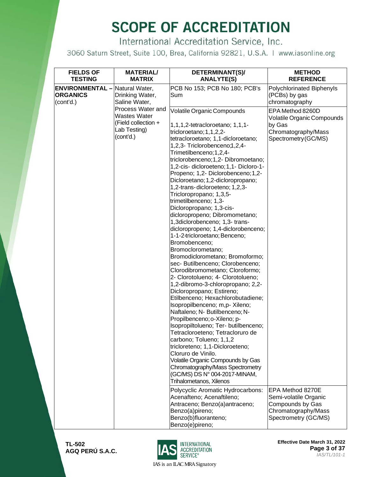International Accreditation Service, Inc.

3060 Saturn Street, Suite 100, Brea, California 92821, U.S.A. | www.iasonline.org

| <b>FIELDS OF</b><br><b>TESTING</b>                                    | <b>MATERIAL/</b><br><b>MATRIX</b>                                                            | DETERMINANT(S)/<br><b>ANALYTE(S)</b>                                                                                                                                                                                                                                                                                                                                                                                                                                                                                                                                                                                                                                                                                                                                                                                                                                                                                                                                                                                                                                                                                                                                                                                                                                                                                                                                                                                                                                         | <b>METHOD</b><br><b>REFERENCE</b>                                                                                                                                                                                       |
|-----------------------------------------------------------------------|----------------------------------------------------------------------------------------------|------------------------------------------------------------------------------------------------------------------------------------------------------------------------------------------------------------------------------------------------------------------------------------------------------------------------------------------------------------------------------------------------------------------------------------------------------------------------------------------------------------------------------------------------------------------------------------------------------------------------------------------------------------------------------------------------------------------------------------------------------------------------------------------------------------------------------------------------------------------------------------------------------------------------------------------------------------------------------------------------------------------------------------------------------------------------------------------------------------------------------------------------------------------------------------------------------------------------------------------------------------------------------------------------------------------------------------------------------------------------------------------------------------------------------------------------------------------------------|-------------------------------------------------------------------------------------------------------------------------------------------------------------------------------------------------------------------------|
| <b>ENVIRONMENTAL</b> - Natural Water,<br><b>ORGANICS</b><br>(cont'd.) | Drinking Water,<br>Saline Water,                                                             | PCB No 153; PCB No 180; PCB's<br>Sum                                                                                                                                                                                                                                                                                                                                                                                                                                                                                                                                                                                                                                                                                                                                                                                                                                                                                                                                                                                                                                                                                                                                                                                                                                                                                                                                                                                                                                         | Polychlorinated Biphenyls<br>(PCBs) by gas<br>chromatography                                                                                                                                                            |
|                                                                       | Process Water and<br><b>Wastes Water</b><br>(Field collection +<br>Lab Testing)<br>(cont'd.) | Volatile Organic Compounds<br>1,1,1,2-tetracloroetano; 1,1,1-<br>tricloroetano; 1, 1, 2, 2-<br>tetracloroetano; 1,1-dicloroetano;<br>1,2,3- Triclorobenceno;1,2,4-<br>Trimetilbenceno; 1, 2, 4-<br>triclorobenceno; 1, 2- Dibromoetano;<br>1,2-cis- dicloroeteno; 1,1- Dicloro-1-<br>Propeno; 1,2- Diclorobenceno; 1,2-<br>Dicloroetano; 1,2-dicloropropano;<br>1,2-trans-dicloroeteno; 1,2,3-<br>Tricloropropano; 1,3,5-<br>trimetilbenceno; 1,3-<br>Dicloropropano; 1,3-cis-<br>dicloropropeno; Dibromometano;<br>1,3diclorobenceno; 1,3- trans-<br>dicloropropeno; 1,4-diclorobenceno;<br>1-1-2-tricloroetano; Benceno;<br>Bromobenceno;<br>Bromoclorometano;<br>Bromodiclorometano; Bromoformo;<br>sec- Butilbenceno; Clorobenceno;<br>Clorodibromometano; Cloroformo;<br>2- Clorotolueno; 4- Clorotolueno;<br>1,2-dibromo-3-chloropropano; 2,2-<br>Dicloropropano; Estireno;<br>Etilbenceno; Hexachlorobutadiene;<br>Isopropilbenceno; m,p- Xileno;<br>Naftaleno; N- Butilbenceno; N-<br>Propilbenceno; o-Xileno; p-<br>Isopropiltolueno; Ter- butilbenceno;<br>Tetracloroeteno; Tetracloruro de<br>carbono; Tolueno; 1,1,2<br>tricloreteno; 1,1-Dicloroeteno;<br>Cloruro de Vinilo.<br>Volatile Organic Compounds by Gas<br>Chromatography/Mass Spectrometry<br>(GC/MS) DS N° 004-2017-MINAM,<br>Trihalometanos, Xilenos<br>Polycyclic Aromatic Hydrocarbons:<br>Acenafteno; Acenaftileno;<br>Antraceno; Benzo(a)antraceno;<br>Benzo(a)pireno;<br>Benzo(b)fluoranteno; | EPA Method 8260D<br>Volatile Organic Compounds<br>by Gas<br>Chromatography/Mass<br>Spectrometry (GC/MS)<br>EPA Method 8270E<br>Semi-volatile Organic<br>Compounds by Gas<br>Chromatography/Mass<br>Spectrometry (GC/MS) |
|                                                                       |                                                                                              | Benzo(e)pireno;                                                                                                                                                                                                                                                                                                                                                                                                                                                                                                                                                                                                                                                                                                                                                                                                                                                                                                                                                                                                                                                                                                                                                                                                                                                                                                                                                                                                                                                              |                                                                                                                                                                                                                         |

**TL-502 AGQ PERÚ S.A.C.**



**Effective Date March 31, 2022 Page 3 of 37** *IAS/TL/101-1*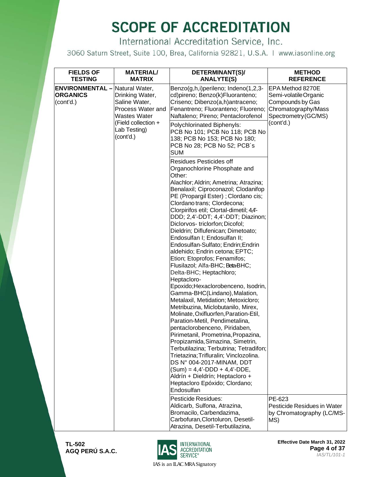International Accreditation Service, Inc.

3060 Saturn Street, Suite 100, Brea, California 92821, U.S.A. | www.iasonline.org

| <b>FIELDS OF</b><br><b>TESTING</b>                                    | <b>MATERIAL/</b><br><b>MATRIX</b>                                                                                         | DETERMINANT(S)/<br><b>ANALYTE(S)</b>                                                                                                                                                                                                                                                                                                                                                                                                                                                                                                                                                                                                                                                                                                                                                                                                                                                                                                                                                                                                                                                                                                                                                          | <b>METHOD</b><br><b>REFERENCE</b>                                                                                        |
|-----------------------------------------------------------------------|---------------------------------------------------------------------------------------------------------------------------|-----------------------------------------------------------------------------------------------------------------------------------------------------------------------------------------------------------------------------------------------------------------------------------------------------------------------------------------------------------------------------------------------------------------------------------------------------------------------------------------------------------------------------------------------------------------------------------------------------------------------------------------------------------------------------------------------------------------------------------------------------------------------------------------------------------------------------------------------------------------------------------------------------------------------------------------------------------------------------------------------------------------------------------------------------------------------------------------------------------------------------------------------------------------------------------------------|--------------------------------------------------------------------------------------------------------------------------|
| <b>ENVIRONMENTAL</b> - Natural Water,<br><b>ORGANICS</b><br>(cont'd.) | Drinking Water,<br>Saline Water,<br>Process Water and<br>Wastes Water<br>(Field collection +<br>Lab Testing)<br>(cont'd.) | Benzo(g,h,i)perileno; Indeno(1,2,3-<br>cd)pireno; Benzo(k)Fluoranteno;<br>Criseno; Dibenzo(a,h)antraceno;<br>Fenantreno; Fluoranteno; Fluoreno;<br>Naftaleno; Pireno; Pentaclorofenol<br>Polychlorinated Biphenyls:<br>PCB No 101; PCB No 118; PCB No<br>138; PCB No 153; PCB No 180;<br>PCB No 28; PCB No 52; PCB's<br><b>SUM</b>                                                                                                                                                                                                                                                                                                                                                                                                                                                                                                                                                                                                                                                                                                                                                                                                                                                            | EPA Method 8270E<br>Semi-volatileOrganic<br>Compounds by Gas<br>Chromatography/Mass<br>Spectrometry (GC/MS)<br>(cont'd.) |
|                                                                       |                                                                                                                           | Residues Pesticides off<br>Organochlorine Phosphate and<br>Other:<br>Alachlor; Aldrin; Ametrina; Atrazina;<br>Benalaxil; Ciproconazol; Clodanifop<br>PE (Propargil Ester) ; Clordano cis;<br>Clordano trans; Clordecona;<br>Clorpirifos etil; Clortal-dimetil; 4,4'-<br>DDD; 2,4'-DDT; 4,4'-DDT; Diazinon;<br>Diclorvos-triclorfon; Dicofol;<br>Dieldrin; Diflufenican; Dimetoato;<br>Endosulfan I; Endosulfan II;<br>Endosulfan-Sulfato; Endrin; Endrin<br>aldehido; Endrin cetona; EPTC;<br>Etion; Etoprofos; Fenamifos;<br>Flusilazol; Alfa-BHC; Beta-BHC;<br>Delta-BHC; Heptachloro;<br>Heptacloro-<br>Epoxido; Hexaclorobenceno, Isodrin,<br>Gamma-BHC(Lindano), Malation,<br>Metalaxil, Metidation; Metoxicloro;<br>Metribuzina, Miclobutanilo, Mirex,<br>Molinate, Oxifluorfen, Paration-Etil,<br>Paration-Metil, Pendimetalina,<br>pentaclorobenceno, Piridaben,<br>Pirimetanil, Prometrina, Propazina,<br>Propizamida, Simazina, Simetrin,<br>Terbutilazina; Terbutrina; Tetradifon;<br>Trietazina; Trifluralin; Vinclozolina.<br>DS Nº 004-2017-MINAM, DDT<br>$(Sum) = 4.4' - DDD + 4.4' - DDE$ ,<br>Aldrín + Dieldrín; Heptacloro +<br>Heptacloro Epóxido; Clordano;<br>Endosulfan |                                                                                                                          |
|                                                                       |                                                                                                                           | Pesticide Residues:<br>Aldicarb, Sulfona, Atrazina,<br>Bromacilo, Carbendazima,<br>Carbofuran, Clortoluron, Desetil-<br>Atrazina, Desetil-Terbutilazina,                                                                                                                                                                                                                                                                                                                                                                                                                                                                                                                                                                                                                                                                                                                                                                                                                                                                                                                                                                                                                                      | PE-623<br>Pesticide Residues in Water<br>by Chromatography (LC/MS-<br>MS)                                                |

**TL-502 AGQ PERÚ S.A.C.**



**Effective Date March 31, 2022 Page 4 of 37** *IAS/TL/101-1*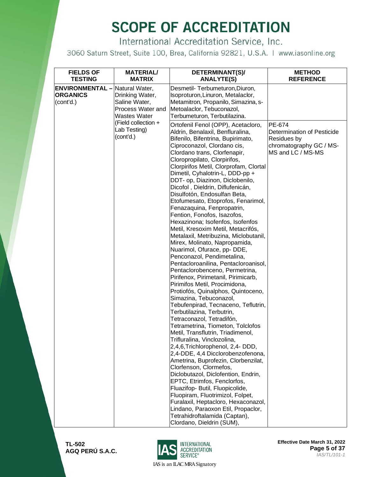International Accreditation Service, Inc.

3060 Saturn Street, Suite 100, Brea, California 92821, U.S.A. | www.iasonline.org

| <b>FIELDS OF</b><br><b>TESTING</b>                     | <b>MATERIAL/</b><br><b>MATRIX</b>                                                                                     | DETERMINANT(S)/<br><b>ANALYTE(S)</b>                                                                                                                                                                                                                                                                                                                                                                                                                                                                                                                                                                                                                                                                                                                                                                                                                                                                                                                                                                                                                                                                                                                                                                                                                                                                                                                                                                                                                                                                                                                                              | <b>METHOD</b><br><b>REFERENCE</b>                                                                   |
|--------------------------------------------------------|-----------------------------------------------------------------------------------------------------------------------|-----------------------------------------------------------------------------------------------------------------------------------------------------------------------------------------------------------------------------------------------------------------------------------------------------------------------------------------------------------------------------------------------------------------------------------------------------------------------------------------------------------------------------------------------------------------------------------------------------------------------------------------------------------------------------------------------------------------------------------------------------------------------------------------------------------------------------------------------------------------------------------------------------------------------------------------------------------------------------------------------------------------------------------------------------------------------------------------------------------------------------------------------------------------------------------------------------------------------------------------------------------------------------------------------------------------------------------------------------------------------------------------------------------------------------------------------------------------------------------------------------------------------------------------------------------------------------------|-----------------------------------------------------------------------------------------------------|
| <b>ENVIRONMENTAL -</b><br><b>ORGANICS</b><br>(cont'd.) | Natural Water,<br>Drinking Water,<br>Saline Water,<br>Process Water and<br><b>Wastes Water</b><br>(Field collection + | Desmetil- Terbumeturon, Diuron,<br>Isoproturon, Linuron, Metalaclor,<br>Metamitron, Propanilo, Simazina, s-<br>Metoalaclor, Tebuconazol,<br>Terbumeturon, Terbutilazina.                                                                                                                                                                                                                                                                                                                                                                                                                                                                                                                                                                                                                                                                                                                                                                                                                                                                                                                                                                                                                                                                                                                                                                                                                                                                                                                                                                                                          |                                                                                                     |
|                                                        | Lab Testing)<br>(cont'd.)                                                                                             | Ortofenil Fenol (OPP), Acetacloro,<br>Aldrin, Benalaxil, Benfluralina,<br>Bifenilo, Bifentrina, Bupirimato,<br>Ciproconazol, Clordano cis,<br>Clordano trans, Clorfenapir,<br>Cloropropilato, Clorpirifos,<br>Clorpirifos Metil, Clorprofam, Clortal<br>Dimetil, Cyhalotrin-L, DDD-pp +<br>DDT- op, Diazinon, Diclobenilo,<br>Dicofol, Dieldrin, Diflufenicán,<br>Disulfotón, Endosulfan Beta,<br>Etofumesato, Etoprofos, Fenarimol,<br>Fenazaquina, Fenpropatrin,<br>Fention, Fonofos, Isazofos,<br>Hexazinona; Isofenfos, Isofenfos<br>Metil, Kresoxim Metil, Metacrifós,<br>Metalaxil, Metribuzina, Miclobutanil,<br>Mirex, Molinato, Napropamida,<br>Nuarimol, Ofurace, pp- DDE,<br>Penconazol, Pendimetalina,<br>Pentacloroanilina, Pentacloroanisol,<br>Pentaclorobenceno, Permetrina,<br>Pirifenox, Pirimetanil, Pirimicarb,<br>Pirimifos Metil, Procimidona,<br>Protiofós, Quinalphos, Quintoceno,<br>Simazina, Tebuconazol,<br>Tebufenpirad, Tecnaceno, Teflutrin,<br>Terbutilazina, Terbutrin,<br>Tetraconazol, Tetradifón,<br>Tetrametrina, Tiometon, Tolclofos<br>Metil, Transflutrin, Triadimenol,<br>Trifluralina, Vinclozolina,<br>2,4,6, Trichlorophenol, 2,4- DDD,<br>2,4-DDE, 4,4 Dicclorobenzofenona,<br>Ametrina, Buprofezin, Clorbenzilat,<br>Clorfenson, Clormefos,<br>Diclobutazol, Diclofention, Endrin,<br>EPTC, Etrimfos, Fenclorfos,<br>Fluazifop- Butil, Fluopicolide,<br>Fluopiram, Fluotrimizol, Folpet,<br>Furalaxil, Heptacloro, Hexaconazol,<br>Lindano, Paraoxon Etil, Propaclor,<br>Tetrahidroftalamida (Captan),<br>Clordano, Dieldrin (SUM), | PE-674<br>Determination of Pesticide<br>Residues by<br>chromatography GC / MS-<br>MS and LC / MS-MS |

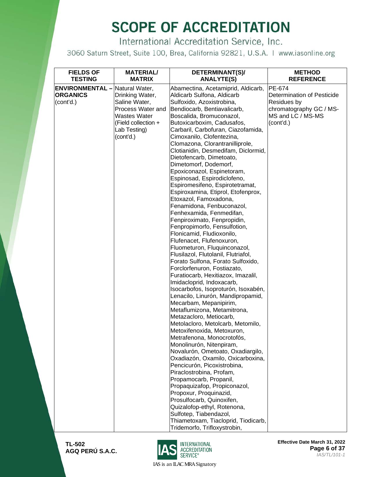International Accreditation Service, Inc.

3060 Saturn Street, Suite 100, Brea, California 92821, U.S.A. | www.iasonline.org

| <b>FIELDS OF</b><br><b>TESTING</b>    | <b>MATERIAL/</b><br><b>MATRIX</b> | DETERMINANT(S)/<br><b>ANALYTE(S)</b>                                   | <b>METHOD</b><br><b>REFERENCE</b> |
|---------------------------------------|-----------------------------------|------------------------------------------------------------------------|-----------------------------------|
|                                       |                                   |                                                                        |                                   |
| <b>ENVIRONMENTAL</b> - Natural Water, |                                   | Abamectina, Acetamiprid, Aldicarb,                                     | <b>PE-674</b>                     |
| <b>ORGANICS</b>                       | Drinking Water,                   | Aldicarb Sulfona, Aldicarb                                             | Determination of Pesticide        |
| (cont'd.)                             | Saline Water,                     | Sulfoxido, Azoxistrobina,                                              | Residues by                       |
|                                       | Process Water and                 | Bendiocarb, Bentiavalicarb,                                            | chromatography GC / MS-           |
|                                       | <b>Wastes Water</b>               | Boscalida, Bromuconazol,                                               | MS and LC / MS-MS                 |
|                                       | (Field collection +               | Butoxicarboxim, Cadusafos,                                             | (cont'd.)                         |
|                                       | Lab Testing)                      | Carbaril, Carbofuran, Ciazofamida,                                     |                                   |
|                                       | (cont'd.)                         | Cimoxanilo, Clofentezina,                                              |                                   |
|                                       |                                   | Clomazona, Clorantranilliprole,<br>Clotianidin, Desmedifam, Diclormid, |                                   |
|                                       |                                   | Dietofencarb, Dimetoato,                                               |                                   |
|                                       |                                   | Dimetomorf, Dodemorf,                                                  |                                   |
|                                       |                                   | Epoxiconazol, Espinetoram,                                             |                                   |
|                                       |                                   | Espinosad, Espirodiclofeno,                                            |                                   |
|                                       |                                   | Espiromesifeno, Espirotetramat,                                        |                                   |
|                                       |                                   | Espiroxamina, Etiprol, Etofenprox,                                     |                                   |
|                                       |                                   | Etoxazol, Famoxadona,                                                  |                                   |
|                                       |                                   | Fenamidona, Fenbuconazol,                                              |                                   |
|                                       |                                   | Fenhexamida, Fenmedifan,                                               |                                   |
|                                       |                                   | Fenpiroximato, Fenpropidin,                                            |                                   |
|                                       |                                   | Fenpropimorfo, Fensulfotion,                                           |                                   |
|                                       |                                   | Flonicamid, Fludioxonilo,                                              |                                   |
|                                       |                                   | Flufenacet, Flufenoxuron,                                              |                                   |
|                                       |                                   | Fluometuron, Fluquinconazol,                                           |                                   |
|                                       |                                   | Flusilazol, Flutolanil, Flutriafol,                                    |                                   |
|                                       |                                   | Forato Sulfona, Forato Sulfoxido,                                      |                                   |
|                                       |                                   | Forclorfenuron, Fostiazato,                                            |                                   |
|                                       |                                   | Furatiocarb, Hexitiazox, Imazalil,                                     |                                   |
|                                       |                                   | Imidacloprid, Indoxacarb,                                              |                                   |
|                                       |                                   | Isocarbofos, Isoproturón, Isoxabén,                                    |                                   |
|                                       |                                   | Lenacilo, Linurón, Mandipropamid,                                      |                                   |
|                                       |                                   | Mecarbam, Mepanipirim,                                                 |                                   |
|                                       |                                   | Metaflumizona, Metamitrona,                                            |                                   |
|                                       |                                   | Metazacloro, Metiocarb,                                                |                                   |
|                                       |                                   | Metolacloro, Metolcarb, Metomilo,                                      |                                   |
|                                       |                                   | Metoxifenoxida, Metoxuron,                                             |                                   |
|                                       |                                   | Metrafenona, Monocrotofós,                                             |                                   |
|                                       |                                   | Monolinurón, Nitenpiram,                                               |                                   |
|                                       |                                   | Novalurón, Ometoato, Oxadiargilo,                                      |                                   |
|                                       |                                   | Oxadiazón, Oxamilo, Oxicarboxina,                                      |                                   |
|                                       |                                   | Pencicurón, Picoxistrobina,                                            |                                   |
|                                       |                                   | Piraclostrobina, Profam,                                               |                                   |
|                                       |                                   | Propamocarb, Propanil,                                                 |                                   |
|                                       |                                   | Propaquizafop, Propiconazol,                                           |                                   |
|                                       |                                   | Propoxur, Proquinazid,<br>Prosulfocarb, Quinoxifen,                    |                                   |
|                                       |                                   | Quizalofop-ethyl, Rotenona,                                            |                                   |
|                                       |                                   | Sulfotep, Tiabendazol,                                                 |                                   |
|                                       |                                   | Thiametoxam, Tiacloprid, Tiodicarb,                                    |                                   |
|                                       |                                   | Tridemorfo, Trifloxystrobin,                                           |                                   |

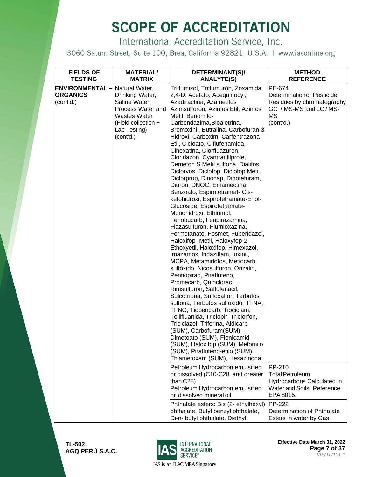International Accreditation Service, Inc.

3060 Saturn Street, Suite 100, Brea, California 92821, U.S.A. | www.iasonline.org

| <b>FIELDS OF</b><br><b>TESTING</b>                                    | <b>MATERIAL/</b><br><b>MATRIX</b>                                                                                                | DETERMINANT(S)/                                                                                                                                                                                                                                                                                                                                                                                                                                                                                                                                                                                                                                                                                                                                                                                                                                                  | <b>METHOD</b>                                                                                                                                                               |
|-----------------------------------------------------------------------|----------------------------------------------------------------------------------------------------------------------------------|------------------------------------------------------------------------------------------------------------------------------------------------------------------------------------------------------------------------------------------------------------------------------------------------------------------------------------------------------------------------------------------------------------------------------------------------------------------------------------------------------------------------------------------------------------------------------------------------------------------------------------------------------------------------------------------------------------------------------------------------------------------------------------------------------------------------------------------------------------------|-----------------------------------------------------------------------------------------------------------------------------------------------------------------------------|
| <b>ENVIRONMENTAL</b> - Natural Water,<br><b>ORGANICS</b><br>(cont'd.) | Drinking Water,<br>Saline Water,<br>Process Water and<br><b>Wastes Water</b><br>(Field collection +<br>Lab Testing)<br>(cont'd.) | <b>ANALYTE(S)</b><br>Triflumizol, Triflumurón, Zoxamida,<br>2,4-D, Acefato, Acequinocyl,<br>Azadiractina, Azametifos<br>Azimsulfurón, Azinfos Etil, Azinfos<br>Metil, Benomilo-<br>Carbendazima, Bioaletrina,<br>Bromoxinil, Butralina, Carbofuran-3-<br>Hidroxi, Carboxim, Carfentrazona<br>Etil, Cicloato, Ciflufenamida,<br>Cihexatina, Clorfluazuron,<br>Cloridazon, Cyantraniliprole,<br>Demeton S Metil sulfona, Dialifos,<br>Diclorvos, Diclofop, Diclofop Metil,<br>Diclorprop, Dinocap, Dinotefuram,<br>Diuron, DNOC, Emamectina<br>Benzoato, Espirotetramat- Cis-<br>ketohidroxi, Espirotetramate-Enol-<br>Glucoside, Espirotetramate-<br>Monohidroxi, Ethirimol,<br>Fenobucarb, Fenpirazamina,<br>Flazasulfuron, Flumioxazina,<br>Formetanato, Fosmet, Fuberidazol,<br>Haloxifop- Metil, Haloxyfop-2-                                                 | <b>REFERENCE</b><br>PE-674<br><b>Determination of Pesticide</b><br>Residues by chromatography<br>GC / MS-MS and LC / MS-<br><b>MS</b><br>(cont'd.)                          |
|                                                                       |                                                                                                                                  | Ethoxyetil, Haloxifop, Himexazol,<br>Imazamox, Indaziflam, Ioxinil,<br>MCPA, Metamidofos, Metiocarb<br>sulfóxido, Nicosulfuron, Orizalin,<br>Pentiopirad, Piraflufeno,<br>Promecarb, Quinclorac,<br>Rimsulfuron, Saflufenacil,<br>Sulcotriona, Sulfoxaflor, Terbufos<br>sulfona, Terbufos sulfoxido, TFNA,<br>TFNG, Tiobencarb, Tiociclam,<br>Tolilfluanida, Triclopir, Triclorfon,<br>Triciclazol, Triforina, Aldicarb<br>(SUM), Carbofuram(SUM),<br>Dimetoato (SUM), Flonicamid<br>(SUM), Haloxifop (SUM), Metomilo<br>(SUM), Piraflufeno-etilo (SUM),<br>Thiametoxam (SUM), Hexazinona<br>Petroleum Hydrocarbon emulsified<br>or dissolved (C10-C28 and greater<br>than C28)<br>Petroleum Hydrocarbon emulsified<br>or dissolved mineral oil<br>Phthalate esters: Bis (2- ethylhexyl)<br>phthalate, Butyl benzyl phthalate,<br>Di-n- butyl phthalate, Diethyl | PP-210<br><b>Total Petroleum</b><br>Hydrocarbons Calculated In<br>Water and Soils. Reference<br>EPA 8015.<br>PP-222<br>Determination of Phthalate<br>Esters in water by Gas |

**TL-502 AGQ PERÚ S.A.C.**



**Effective Date March 31, 2022 Page 7 of 37** *IAS/TL/101-1*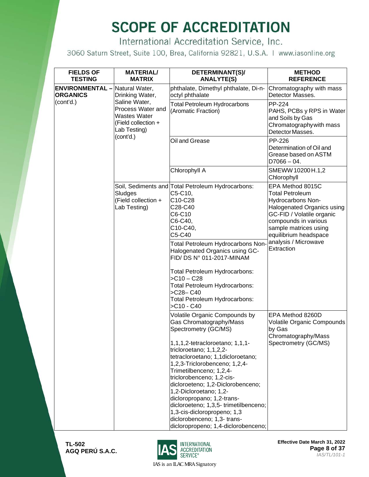International Accreditation Service, Inc.

3060 Saturn Street, Suite 100, Brea, California 92821, U.S.A. | www.iasonline.org

| <b>FIELDS OF</b><br><b>TESTING</b>                       | <b>MATERIAL/</b><br><b>MATRIX</b>                                               | DETERMINANT(S)/<br><b>ANALYTE(S)</b>                                                                                                                                                                                                                                                                                                                                                                                                                                                                                    | <b>METHOD</b><br><b>REFERENCE</b>                                                                                                                                                                                                          |                                                                                                         |
|----------------------------------------------------------|---------------------------------------------------------------------------------|-------------------------------------------------------------------------------------------------------------------------------------------------------------------------------------------------------------------------------------------------------------------------------------------------------------------------------------------------------------------------------------------------------------------------------------------------------------------------------------------------------------------------|--------------------------------------------------------------------------------------------------------------------------------------------------------------------------------------------------------------------------------------------|---------------------------------------------------------------------------------------------------------|
| <b>ENVIRONMENTAL</b> - Natural Water,<br><b>ORGANICS</b> | Drinking Water,                                                                 | phthalate, Dimethyl phthalate, Di-n-<br>octyl phthalate                                                                                                                                                                                                                                                                                                                                                                                                                                                                 | Chromatography with mass<br>Detector Masses.                                                                                                                                                                                               |                                                                                                         |
| (cont'd.)                                                | Process Water and<br><b>Wastes Water</b><br>(Field collection +<br>Lab Testing) | Saline Water,                                                                                                                                                                                                                                                                                                                                                                                                                                                                                                           | <b>Total Petroleum Hydrocarbons</b><br>(Aromatic Fraction)                                                                                                                                                                                 | PP-224<br>PAHS, PCBs y RPS in Water<br>and Soils by Gas<br>Chromatography with mass<br>Detector Masses. |
|                                                          | (cont'd.)                                                                       | Oil and Grease                                                                                                                                                                                                                                                                                                                                                                                                                                                                                                          | PP-226<br>Determination of Oil and<br>Grease based on ASTM<br>$D7066 - 04.$                                                                                                                                                                |                                                                                                         |
|                                                          |                                                                                 | Chlorophyll A                                                                                                                                                                                                                                                                                                                                                                                                                                                                                                           | SMEWW 10200 H.1,2<br>Chlorophyll                                                                                                                                                                                                           |                                                                                                         |
|                                                          | Sludges<br>(Field collection +<br>Lab Testing)                                  | Soil, Sediments and Total Petroleum Hydrocarbons:<br>C5-C10,<br>C10-C28<br>C28-C40<br>C6-C10<br>C6-C40,<br>C10-C40,<br>C5-C40<br>Total Petroleum Hydrocarbons Non-<br>Halogenated Organics using GC-<br>FID/ DS N° 011-2017-MINAM<br>Total Petroleum Hydrocarbons:<br>$SC10 - C28$<br>Total Petroleum Hydrocarbons:<br>>C28-C40<br>Total Petroleum Hydrocarbons:<br>>C10 - C40                                                                                                                                          | EPA Method 8015C<br><b>Total Petroleum</b><br>Hydrocarbons Non-<br>Halogenated Organics using<br>GC-FID / Volatile organic<br>compounds in various<br>sample matrices using<br>equilibrium headspace<br>analysis / Microwave<br>Extraction |                                                                                                         |
|                                                          |                                                                                 | Volatile Organic Compounds by<br>Gas Chromatography/Mass<br>Spectrometry (GC/MS)<br>1,1,1,2-tetracloroetano; 1,1,1-<br>tricloroetano; 1,1,2,2-<br>tetracloroetano; 1,1dicloroetano;<br>1,2,3-Triclorobenceno; 1,2,4-<br>Trimetilbenceno; 1,2,4-<br>triclorobenceno; 1,2-cis-<br>dicloroeteno; 1,2-Diclorobenceno;<br>1,2-Dicloroetano; 1,2-<br>dicloropropano; 1,2-trans-<br>dicloroeteno; 1,3,5- trimetilbenceno;<br>1,3-cis-dicloropropeno; 1,3<br>diclorobenceno; 1,3- trans-<br>dicloropropeno; 1,4-diclorobenceno; | EPA Method 8260D<br>Volatile Organic Compounds<br>by Gas<br>Chromatography/Mass<br>Spectrometry (GC/MS)                                                                                                                                    |                                                                                                         |

**TL-502 AGQ PERÚ S.A.C.**



**Effective Date March 31, 2022 Page 8 of 37** *IAS/TL/101-1*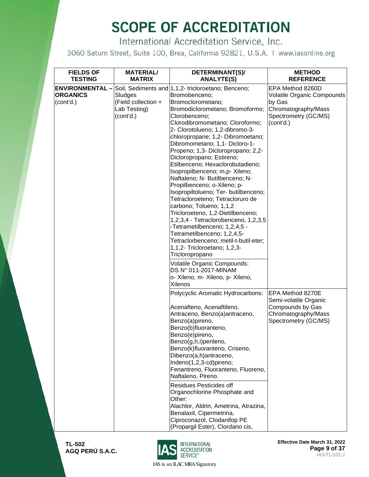International Accreditation Service, Inc.

3060 Saturn Street, Suite 100, Brea, California 92821, U.S.A. | www.iasonline.org

| <b>FIELDS OF</b>                                                         | <b>MATERIAL/</b>                                                             | DETERMINANT(S)/                                                                                                                                                                                                                                                                                                                                                                                                                                                                                                                                                  | <b>METHOD</b>                                                                                                                            |
|--------------------------------------------------------------------------|------------------------------------------------------------------------------|------------------------------------------------------------------------------------------------------------------------------------------------------------------------------------------------------------------------------------------------------------------------------------------------------------------------------------------------------------------------------------------------------------------------------------------------------------------------------------------------------------------------------------------------------------------|------------------------------------------------------------------------------------------------------------------------------------------|
| <b>TESTING</b><br><b>ENVIRONMENTAL -</b><br><b>ORGANICS</b><br>(cont'd.) | <b>MATRIX</b><br>Sludges<br>(Field collection +<br>Lab Testing)<br>(cont'd.) | <b>ANALYTE(S)</b><br>Soil, Sediments and 1,1,2- tricloroetano; Benceno;<br>Bromobenceno;<br>Bromoclorometano;<br>Bromodiclorometano; Bromoformo;<br>Clorobenceno;<br>Clorodibromometano; Cloroformo;<br>2- Clorotolueno; 1,2-dibromo-3-<br>chloropropane; 1,2- Dibromoetano;<br>Dibromometano; 1,1- Dicloro-1-<br>Propeno; 1,3- Dicloropropano; 2,2-<br>Dicloropropano; Estireno;<br>Etilbenceno; Hexaclorobutadieno;<br>Isopropilbenceno; m,p- Xileno;                                                                                                          | <b>REFERENCE</b><br>EPA Method 8260D<br>Volatile Organic Compounds<br>by Gas<br>Chromatography/Mass<br>Spectrometry (GC/MS)<br>(cont'd.) |
|                                                                          |                                                                              | Naftaleno; N- Butilbenceno; N-<br>Propilbenceno; o-Xileno; p-<br>Isopropiltolueno; Ter- butilbenceno;<br>Tetracloroeteno; Tetracloruro de<br>carbono; Tolueno; 1,1,2<br>Tricloroeteno, 1,2-Dietilbenceno;<br>1,2,3,4 - Tetraclorobenceno, 1,2,3,5<br>-Tetrametilbenceno; 1,2,4,5 -<br>Tetrametilbenceno; 1,2,4,5-<br>Tetraclorbenceno; metil-t-butil-eter;<br>1,1,2- Tricloroetano; 1,2,3-<br>Tricloropropano<br>Volatile Organic Compounds:<br>DS N° 011-2017-MINAM<br>o- Xileno, m- Xileno, p- Xileno,                                                         |                                                                                                                                          |
|                                                                          |                                                                              | Xilenos<br>Polycyclic Aromatic Hydrocarbons:<br>Acenafteno, Acenaftileno,<br>Antraceno, Benzo(a)antraceno,<br>Benzo(a)pireno,<br>Benzo(b)fluoranteno,<br>Benzo(e)pireno,<br>Benzo(g,h,i)perileno,<br>Benzo(k)fluoranteno, Criseno,<br>Dibenzo(a,h)antraceno,<br>Indeno(1,2,3-cd)pireno;<br>Fenantreno, Fluoranteno, Fluoreno,<br>Naftaleno, Pireno.<br>Residues Pesticides off<br>Organochlorine Phosphate and<br>Other:<br>Alachlor, Aldrin, Ametrina, Atrazina,<br>Benalaxil, Cipermetrina,<br>Ciproconazol, Clodanifop PE<br>(Propargil Ester), Clordano cis, | EPA Method 8270E<br>Semi-volatile Organic<br>Compounds by Gas<br>Chromatography/Mass<br>Spectrometry (GC/MS)                             |

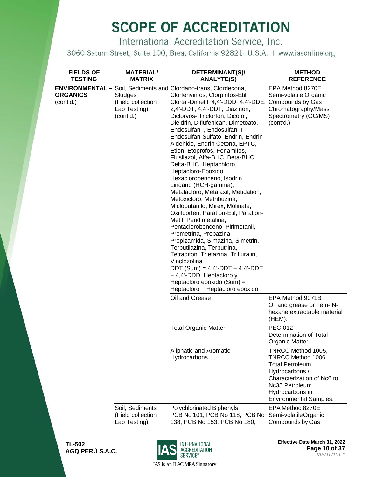International Accreditation Service, Inc.

3060 Saturn Street, Suite 100, Brea, California 92821, U.S.A. | www.iasonline.org

| <b>FIELDS OF</b><br><b>TESTING</b>                    | <b>MATERIAL/</b><br><b>MATRIX</b>                           | DETERMINANT(S)/<br><b>ANALYTE(S)</b>                                                                                                                                                                                                                                                                                                                                                                                                                                                                                                                                                                                                                                                                                                                                                                                                                                                                                                                                                                                        | <b>METHOD</b><br><b>REFERENCE</b>                                                                                                                                                |
|-------------------------------------------------------|-------------------------------------------------------------|-----------------------------------------------------------------------------------------------------------------------------------------------------------------------------------------------------------------------------------------------------------------------------------------------------------------------------------------------------------------------------------------------------------------------------------------------------------------------------------------------------------------------------------------------------------------------------------------------------------------------------------------------------------------------------------------------------------------------------------------------------------------------------------------------------------------------------------------------------------------------------------------------------------------------------------------------------------------------------------------------------------------------------|----------------------------------------------------------------------------------------------------------------------------------------------------------------------------------|
| <b>ENVIRONMENTAL-</b><br><b>ORGANICS</b><br>(cont'd.) | Sludges<br>(Field collection +<br>Lab Testing)<br>(cont'd.) | Soil, Sediments and Clordano-trans, Clordecona,<br>Clorfenvinfos, Clorpirifos-Etil,<br>Clortal-Dimetil, 4,4'-DDD, 4,4'-DDE,<br>2,4'-DDT, 4,4'-DDT, Diazinon,<br>Diclorvos- Triclorfon, Dicofol,<br>Dieldrin, Diflufenican, Dimetoato,<br>Endosulfan I, Endosulfan II,<br>Endosulfan-Sulfato, Endrin, Endrin<br>Aldehido, Endrin Cetona, EPTC,<br>Etion, Etoprofos, Fenamifos,<br>Flusilazol, Alfa-BHC, Beta-BHC,<br>Delta-BHC, Heptachloro,<br>Heptacloro-Epoxido,<br>Hexaclorobenceno, Isodrin,<br>Lindano (HCH-gamma),<br>Metalacloro, Metalaxil, Metidation,<br>Metoxicloro, Metribuzina,<br>Miclobutanilo, Mirex, Molinate,<br>Oxifluorfen, Paration-Etil, Paration-<br>Metil, Pendimetalina,<br>Pentaclorobenceno, Pirimetanil,<br>Prometrina, Propazina,<br>Propizamida, Simazina, Simetrin,<br>Terbutilazina, Terbutrina,<br>Tetradifon, Trietazina, Trifluralin,<br>Vinclozolina.<br>$DDT$ (Sum) = 4,4'-DDT + 4,4'-DDE<br>+ 4,4'-DDD, Heptacloro y<br>Heptacloro epóxido (Sum) =<br>Heptacloro + Heptacloro epóxido | EPA Method 8270E<br>Semi-volatile Organic<br>Compounds by Gas<br>Chromatography/Mass<br>Spectrometry (GC/MS)<br>(cont'd.)                                                        |
|                                                       |                                                             | Oil and Grease                                                                                                                                                                                                                                                                                                                                                                                                                                                                                                                                                                                                                                                                                                                                                                                                                                                                                                                                                                                                              | EPA Method 9071B<br>Oil and grease or hem-N-<br>hexane extractable material<br>(HEM).                                                                                            |
|                                                       |                                                             | <b>Total Organic Matter</b>                                                                                                                                                                                                                                                                                                                                                                                                                                                                                                                                                                                                                                                                                                                                                                                                                                                                                                                                                                                                 | <b>PEC-012</b><br>Determination of Total<br>Organic Matter.                                                                                                                      |
|                                                       |                                                             | Aliphatic and Aromatic<br>Hydrocarbons                                                                                                                                                                                                                                                                                                                                                                                                                                                                                                                                                                                                                                                                                                                                                                                                                                                                                                                                                                                      | TNRCC Method 1005,<br>TNRCC Method 1006<br><b>Total Petroleum</b><br>Hydrocarbons /<br>Characterization of Nc6 to<br>Nc35 Petroleum<br>Hydrocarbons in<br>Environmental Samples. |
|                                                       | Soil, Sediments<br>(Field collection +<br>Lab Testing)      | Polychlorinated Biphenyls:<br>PCB No 101, PCB No 118, PCB No<br>138, PCB No 153, PCB No 180,                                                                                                                                                                                                                                                                                                                                                                                                                                                                                                                                                                                                                                                                                                                                                                                                                                                                                                                                | EPA Method 8270E<br>Semi-volatileOrganic<br>Compounds by Gas                                                                                                                     |



**Effective Date March 31, 2022 Page 10 of 37** *IAS/TL/101-1*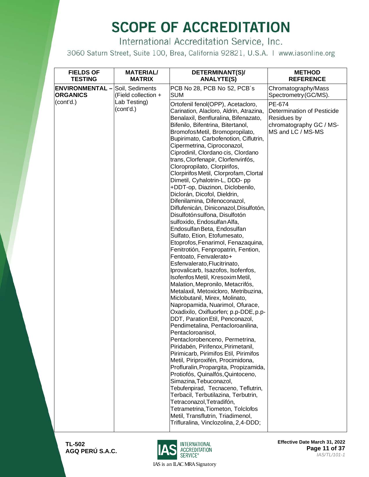International Accreditation Service, Inc.

3060 Saturn Street, Suite 100, Brea, California 92821, U.S.A. | www.iasonline.org

| <b>FIELDS OF</b><br><b>TESTING</b>                        | <b>MATERIAL/</b><br><b>MATRIX</b> | DETERMINANT(S)/<br><b>ANALYTE(S)</b>                                                                                                                                                                                                                                                                                                                                                                                                                                                                                                                                                                                                                                                                                                                                                                                                                                                                                                                                                                                                                                                                                                                                                                                                                                                                                                                                                                                                                                                                                                                                                                                                                                                                                                        | <b>METHOD</b><br><b>REFERENCE</b>                                                                   |
|-----------------------------------------------------------|-----------------------------------|---------------------------------------------------------------------------------------------------------------------------------------------------------------------------------------------------------------------------------------------------------------------------------------------------------------------------------------------------------------------------------------------------------------------------------------------------------------------------------------------------------------------------------------------------------------------------------------------------------------------------------------------------------------------------------------------------------------------------------------------------------------------------------------------------------------------------------------------------------------------------------------------------------------------------------------------------------------------------------------------------------------------------------------------------------------------------------------------------------------------------------------------------------------------------------------------------------------------------------------------------------------------------------------------------------------------------------------------------------------------------------------------------------------------------------------------------------------------------------------------------------------------------------------------------------------------------------------------------------------------------------------------------------------------------------------------------------------------------------------------|-----------------------------------------------------------------------------------------------------|
| <b>ENVIRONMENTAL</b> - Soil, Sediments<br><b>ORGANICS</b> | (Field collection +               | PCB No 28, PCB No 52, PCB's<br><b>SUM</b>                                                                                                                                                                                                                                                                                                                                                                                                                                                                                                                                                                                                                                                                                                                                                                                                                                                                                                                                                                                                                                                                                                                                                                                                                                                                                                                                                                                                                                                                                                                                                                                                                                                                                                   | Chromatography/Mass<br>Spectrometry (GC/MS).                                                        |
| (cont'd.)                                                 | Lab Testing)<br>(cont'd.)         | Ortofenil fenol(OPP), Acetacloro,<br>Carination, Alacloro, Aldrin, Atrazina,<br>Benalaxil, Benfluralina, Bifenazato,<br>Bifenilo, Bifentrina, Bitertanol,<br>BromofosMetil, Bromopropilato,<br>Bupirimato, Carbofenotion, Ciflutrin,<br>Cipermetrina, Ciproconazol,<br>Ciprodinil, Clordano cis, Clordano<br>trans, Clorfenapir, Clorfenvinfós,<br>Cloropropilato, Clorpirifos,<br>Clorpirifos Metil, Clorprofam, Clortal<br>Dimetil, Cyhalotrin-L, DDD- pp<br>+DDT-op, Diazinon, Diclobenilo,<br>Diclorán, Dicofol, Dieldrin,<br>Difenilamina, Difenoconazol,<br>Diflufenicán, Diniconazol, Disulfotón,<br>Disulfotón sulfona, Disulfotón<br>sulfoxido, Endosulfan Alfa,<br>Endosulfan Beta, Endosulfan<br>Sulfato, Etion, Etofumesato,<br>Etoprofos, Fenarimol, Fenazaquina,<br>Fenitrotión, Fenpropatrin, Fention,<br>Fentoato, Fenvalerato+<br>Esfenvalerato, Flucitrinato,<br>Iprovalicarb, Isazofos, Isofenfos,<br>Isofenfos Metil, Kresoxim Metil,<br>Malation, Mepronilo, Metacrifós,<br>Metalaxil, Metoxicloro, Metribuzina,<br>Miclobutanil, Mirex, Molinato,<br>Napropamida, Nuarimol, Ofurace,<br>Oxadixilo, Oxifluorfen; p.p-DDE, p.p-<br>DDT, Paration Etil, Penconazol,<br>Pendimetalina, Pentacloroanilina,<br>Pentacloroanisol,<br>Pentaclorobenceno, Permetrina,<br>Piridabén, Pirifenox, Pirimetanil,<br>Pirimicarb, Pirimifos Etil, Pirimifos<br>Metil, Piriproxifén, Procimidona,<br>Profluralin, Propargita, Propizamida,<br>Protiofós, Quinalfós, Quintoceno,<br>Simazina, Tebuconazol,<br>Tebufenpirad, Tecnaceno, Teflutrin,<br>Terbacil, Terbutilazina, Terbutrin,<br>Tetraconazol, Tetradifón,<br>Tetrametrina, Tiometon, Tolclofos<br>Metil, Transflutrin, Triadimenol,<br>Trifluralina, Vinclozolina, 2,4-DDD; | PE-674<br>Determination of Pesticide<br>Residues by<br>chromatography GC / MS-<br>MS and LC / MS-MS |

**TL-502 AGQ PERÚ S.A.C.**



**Effective Date March 31, 2022 Page 11 of 37** *IAS/TL/101-1*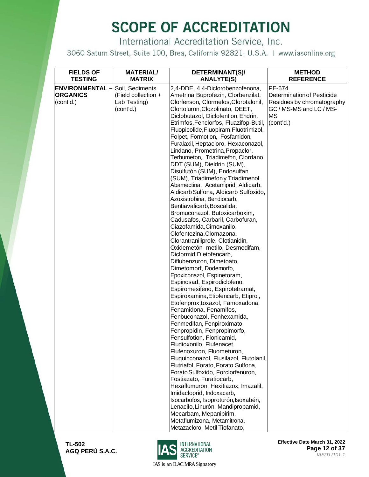International Accreditation Service, Inc.

3060 Saturn Street, Suite 100, Brea, California 92821, U.S.A. | www.iasonline.org

| <b>FIELDS OF</b><br><b>TESTING</b>                                     | <b>MATERIAL/</b><br><b>MATRIX</b>   | DETERMINANT(S)/<br><b>ANALYTE(S)</b>                                                                                                                       | <b>METHOD</b><br><b>REFERENCE</b>                                         |
|------------------------------------------------------------------------|-------------------------------------|------------------------------------------------------------------------------------------------------------------------------------------------------------|---------------------------------------------------------------------------|
| <b>ENVIRONMENTAL</b> - Soil, Sediments<br><b>ORGANICS</b><br>(cont'd.) | (Field collection +<br>Lab Testing) | 2,4-DDE, 4.4-Diclorobenzofenona,<br>Ametrina, Buprofezin, Clorbenzilat,<br>Clorfenson, Clormefos, Clorotalonil,                                            | PE-674<br><b>Determination of Pesticide</b><br>Residues by chromatography |
|                                                                        | (cont'd.)                           | Clortoluron, Clozolinato, DEET,<br>Diclobutazol, Diclofention, Endrin,<br>Etrimfos, Fenclorfos, Fluazifop-Butil,<br>Fluopicolide, Fluopiram, Fluotrimizol, | GC / MS-MS and LC / MS-<br><b>MS</b><br>(cont'd.)                         |
|                                                                        |                                     | Folpet, Formotion, Fosfamidon,<br>Furalaxil, Heptacloro, Hexaconazol,<br>Lindano, Prometrina, Propaclor,                                                   |                                                                           |
|                                                                        |                                     | Terbumeton, Triadimefon, Clordano,<br>DDT (SUM), Dieldrin (SUM),<br>Disulfutón (SUM), Endosulfan                                                           |                                                                           |
|                                                                        |                                     | (SUM), Triadimefon y Triadimenol.<br>Abamectina, Acetamiprid, Aldicarb,<br>Aldicarb Sulfona, Aldicarb Sulfoxido,                                           |                                                                           |
|                                                                        |                                     | Azoxistrobina, Bendiocarb,<br>Bentiavalicarb, Boscalida,<br>Bromuconazol, Butoxicarboxim,<br>Cadusafos, Carbaril, Carbofuran,                              |                                                                           |
|                                                                        |                                     | Ciazofamida, Cimoxanilo,<br>Clofentezina, Clomazona,<br>Clorantraniliprole, Clotianidin,                                                                   |                                                                           |
|                                                                        |                                     | Oxidemetón- metilo, Desmedifam,<br>Diclormid, Dietofencarb,<br>Diflubenzuron, Dimetoato,                                                                   |                                                                           |
|                                                                        |                                     | Dimetomorf, Dodemorfo,<br>Epoxiconazol, Espinetoram,<br>Espinosad, Espirodiclofeno,                                                                        |                                                                           |
|                                                                        |                                     | Espiromesifeno, Espirotetramat,<br>Espiroxamina, Etiofencarb, Etiprol,<br>Etofenprox, toxazol, Famoxadona,                                                 |                                                                           |
|                                                                        |                                     | Fenamidona, Fenamifos,<br>Fenbuconazol, Fenhexamida,<br>Fenmedifan, Fenpiroximato,                                                                         |                                                                           |
|                                                                        |                                     | Fenpropidin, Fenpropimorfo,<br>Fensulfotion, Flonicamid,<br>Fludioxonilo, Flufenacet,                                                                      |                                                                           |
|                                                                        |                                     | Flufenoxuron, Fluometuron,<br>Fluquinconazol, Flusilazol, Flutolanil,<br>Flutriafol, Forato, Forato Sulfona,                                               |                                                                           |
|                                                                        |                                     | Forato Sulfoxido, Forclorfenuron,<br>Fostiazato, Furatiocarb,<br>Hexaflumuron, Hexitiazox, Imazalil,                                                       |                                                                           |
|                                                                        |                                     | Imidacloprid, Indoxacarb,<br>Isocarbofos, Isoproturón, Isoxabén,<br>Lenacilo, Linurón, Mandipropamid,                                                      |                                                                           |
|                                                                        |                                     | Mecarbam, Mepanipirim,<br>Metaflumizona, Metamitrona,<br>Metazacloro, Metil Tiofanato,                                                                     |                                                                           |

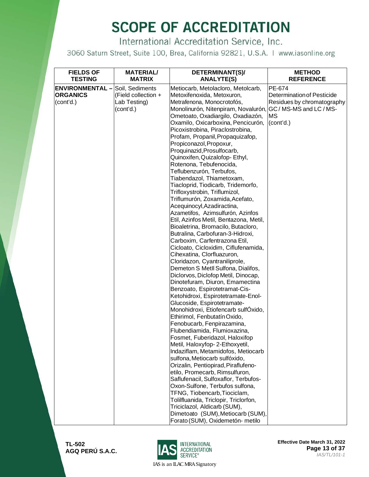International Accreditation Service, Inc.

3060 Saturn Street, Suite 100, Brea, California 92821, U.S.A. | www.iasonline.org

| <b>FIELDS OF</b><br><b>TESTING</b>                    | <b>MATERIAL/</b><br><b>MATRIX</b>                                   | DETERMINANT(S)/<br><b>ANALYTE(S)</b>                                                                                                                                                                                                                                                                                                                                                                       | <b>METHOD</b><br><b>REFERENCE</b>                                                            |
|-------------------------------------------------------|---------------------------------------------------------------------|------------------------------------------------------------------------------------------------------------------------------------------------------------------------------------------------------------------------------------------------------------------------------------------------------------------------------------------------------------------------------------------------------------|----------------------------------------------------------------------------------------------|
| <b>ENVIRONMENTAL-</b><br><b>ORGANICS</b><br>(cont'd.) | Soil, Sediments<br>(Field collection +<br>Lab Testing)<br>(cont'd.) | Metiocarb, Metolacloro, Metolcarb,<br>Metoxifenoxida, Metoxuron,<br>Metrafenona, Monocrotofós,<br>Monolinurón, Nitenpiram, Novalurón, GC / MS-MS and LC / MS-<br>Ometoato, Oxadiargilo, Oxadiazón,<br>Oxamilo, Oxicarboxina, Pencicurón,<br>Picoxistrobina, Piraclostrobina,<br>Profam, Propanil, Propaquizafop,<br>Propiconazol, Propoxur,<br>Proquinazid, Prosulfocarb,<br>Quinoxifen, Quizalofop-Ethyl, | PE-674<br><b>Determination of Pesticide</b><br>Residues by chromatography<br>MS<br>(cont'd.) |
|                                                       |                                                                     | Rotenona, Tebufenocida,<br>Teflubenzurón, Terbufos,<br>Tiabendazol, Thiametoxam,<br>Tiacloprid, Tiodicarb, Tridemorfo,<br>Trifloxystrobin, Triflumizol,<br>Triflumurón, Zoxamida, Acefato,<br>Acequinocyl, Azadiractina,<br>Azametifos, Azimsulfurón, Azinfos<br>Etil, Azinfos Metil, Bentazona, Metil,<br>Bioaletrina, Bromacilo, Butacloro,                                                              |                                                                                              |
|                                                       |                                                                     | Butralina, Carbofuran-3-Hidroxi,<br>Carboxim, Carfentrazona Etil,<br>Cicloato, Cicloxidim, Ciflufenamida,<br>Cihexatina, Clorfluazuron,<br>Cloridazon, Cyantraniliprole,<br>Demeton S MetII Sulfona, Dialifos,<br>Diclorvos, Diclofop Metil, Dinocap,<br>Dinotefuram, Diuron, Emamectina<br>Benzoato, Espirotetramat-Cis-                                                                                  |                                                                                              |
|                                                       |                                                                     | Ketohidroxi, Espirotetramate-Enol-<br>Glucoside, Espirotetramate-<br>Monohidroxi, Etiofencarb sulfÓxido,<br>Ethirimol, Fenbutatín Oxido,<br>Fenobucarb, Fenpirazamina,<br>Flubendiamida, Flumioxazina,<br>Fosmet, Fuberidazol, Haloxifop<br>Metil, Haloxyfop-2-Ethoxyetil,<br>Indaziflam, Metamidofos, Metiocarb                                                                                           |                                                                                              |
|                                                       |                                                                     | sulfona, Metiocarb sulfóxido,<br>Orizalin, Pentiopirad, Piraflufeno-<br>etilo, Promecarb, Rimsulfuron,<br>Saflufenacil, Sulfoxaflor, Terbufos-<br>Oxon-Sulfone, Terbufos sulfona,<br>TFNG, Tiobencarb, Tiociclam,<br>Tolilfluanida, Triclopir, Triclorfon,<br>Triciclazol, Aldicarb (SUM),<br>Dimetoato (SUM), Metiocarb (SUM),<br>Forato (SUM), Oxidemetón- metilo                                        |                                                                                              |



**Effective Date March 31, 2022 Page 13 of 37** *IAS/TL/101-1*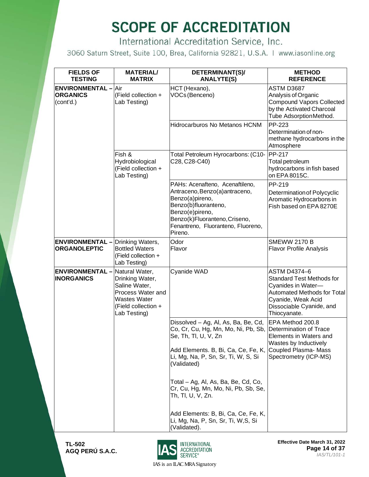International Accreditation Service, Inc.

3060 Saturn Street, Suite 100, Brea, California 92821, U.S.A. | www.iasonline.org

| <b>FIELDS OF</b><br><b>TESTING</b>                         | <b>MATERIAL/</b><br><b>MATRIX</b>                                                                                                     | DETERMINANT(S)/<br><b>ANALYTE(S)</b>                                                                                                                                                                                                                                                               | <b>METHOD</b><br><b>REFERENCE</b>                                                                                                                                              |
|------------------------------------------------------------|---------------------------------------------------------------------------------------------------------------------------------------|----------------------------------------------------------------------------------------------------------------------------------------------------------------------------------------------------------------------------------------------------------------------------------------------------|--------------------------------------------------------------------------------------------------------------------------------------------------------------------------------|
| <b>ENVIRONMENTAL - Air</b><br><b>ORGANICS</b><br>(cont'd.) | (Field collection +<br>Lab Testing)                                                                                                   | HCT (Hexano),<br>VOCs (Benceno)                                                                                                                                                                                                                                                                    | ASTM D3687<br>Analysis of Organic<br><b>Compound Vapors Collected</b><br>by the Activated Charcoal<br>Tube AdsorptionMethod.                                                   |
|                                                            |                                                                                                                                       | Hidrocarburos No Metanos HCNM                                                                                                                                                                                                                                                                      | PP-223<br>Determination of non-<br>methane hydrocarbons in the<br>Atmosphere                                                                                                   |
|                                                            | Fish &<br>Hydrobiological<br>(Field collection +<br>Lab Testing)                                                                      | Total Petroleum Hyrocarbons: (C10-<br>C28, C28-C40)                                                                                                                                                                                                                                                | PP-217<br>Total petroleum<br>hydrocarbons in fish based<br>on EPA 8015C.                                                                                                       |
|                                                            |                                                                                                                                       | PAHs: Acenafteno, Acenaftileno,<br>Antraceno, Benzo(a)antraceno,<br>Benzo(a)pireno,<br>Benzo(b)fluoranteno,<br>Benzo(e)pireno,<br>Benzo(k)Fluoranteno, Criseno,<br>Fenantreno, Fluoranteno, Fluoreno,<br>Pireno.                                                                                   | PP-219<br>Determination of Polycyclic<br>Aromatic Hydrocarbons in<br>Fish based on EPA 8270E                                                                                   |
| <b>ENVIRONMENTAL -</b><br><b>ORGANOLEPTIC</b>              | Drinking Waters,<br><b>Bottled Waters</b><br>(Field collection +<br>Lab Testing)                                                      | Odor<br>Flavor                                                                                                                                                                                                                                                                                     | <b>SMEWW 2170 B</b><br><b>Flavor Profile Analysis</b>                                                                                                                          |
| <b>ENVIRONMENTAL -</b><br><b>INORGANICS</b>                | Natural Water,<br>Drinking Water,<br>Saline Water,<br>Process Water and<br><b>Wastes Water</b><br>(Field collection +<br>Lab Testing) | Cyanide WAD                                                                                                                                                                                                                                                                                        | <b>ASTM D4374-6</b><br><b>Standard Test Methods for</b><br>Cyanides in Water-<br>Automated Methods for Total<br>Cyanide, Weak Acid<br>Dissociable Cyanide, and<br>Thiocyanate. |
|                                                            |                                                                                                                                       | Dissolved - Ag, Al, As, Ba, Be, Cd,<br>Co, Cr, Cu, Hg, Mn, Mo, Ni, Pb, Sb,<br>Se, Th, Tl, U, V, Zn<br>Add Elements. B, Bi, Ca, Ce, Fe, K,<br>Li, Mg, Na, P, Sn, Sr, Ti, W, S, Si<br>(Validated)<br>Total - Ag, Al, As, Ba, Be, Cd, Co,<br>Cr, Cu, Hg, Mn, Mo, Ni, Pb, Sb, Se,<br>Th, Tl, U, V, Zn. | EPA Method 200.8<br>Determination of Trace<br>Elements in Waters and<br>Wastes by Inductively<br>Coupled Plasma- Mass<br>Spectrometry (ICP-MS)                                 |
|                                                            |                                                                                                                                       | Add Elements: B, Bi, Ca, Ce, Fe, K,<br>Li, Mg, Na, P, Sn, Sr, Ti, W,S, Si<br>(Validated).                                                                                                                                                                                                          |                                                                                                                                                                                |

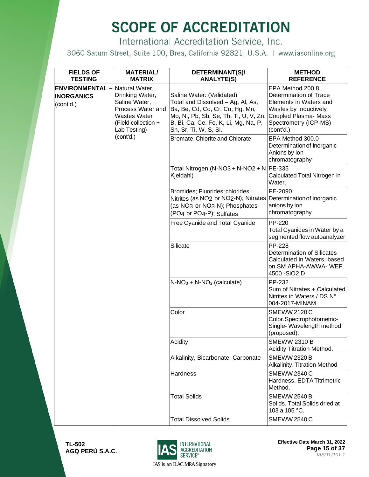International Accreditation Service, Inc.

3060 Saturn Street, Suite 100, Brea, California 92821, U.S.A. | www.iasonline.org

| <b>FIELDS OF</b><br><b>TESTING</b>                                      | <b>MATERIAL/</b><br><b>MATRIX</b>                                                                                   | DETERMINANT(S)/<br><b>ANALYTE(S)</b>                                                                                                                                                                        | <b>METHOD</b><br><b>REFERENCE</b>                                                                                                                           |
|-------------------------------------------------------------------------|---------------------------------------------------------------------------------------------------------------------|-------------------------------------------------------------------------------------------------------------------------------------------------------------------------------------------------------------|-------------------------------------------------------------------------------------------------------------------------------------------------------------|
| <b>ENVIRONMENTAL</b> - Natural Water,<br><b>INORGANICS</b><br>(cont'd.) | Drinking Water,<br>Saline Water,<br>Process Water and<br><b>Wastes Water</b><br>(Field collection +<br>Lab Testing) | Saline Water: (Validated)<br>Total and Dissolved - Ag, Al, As,<br>Ba, Be, Cd, Co, Cr, Cu, Hg, Mn,<br>Mo, Ni, Pb, Sb, Se, Th, Tl, U, V, Zn,<br>B, Bi, Ca, Ce, Fe, K, Li, Mg, Na, P,<br>Sn, Sr, Ti, W, S, Si. | EPA Method 200.8<br>Determination of Trace<br>Elements in Waters and<br>Wastes by Inductively<br>Coupled Plasma- Mass<br>Spectrometry (ICP-MS)<br>(cont'd.) |
|                                                                         | (cont'd.)                                                                                                           | Bromate, Chlorite and Chlorate                                                                                                                                                                              | EPA Method 300.0<br>Determination of Inorganic<br>Anions by Ion<br>chromatography                                                                           |
|                                                                         |                                                                                                                     | Total Nitrogen (N-NO3 + N-NO2 + N   PE-335<br>Kjeldahl)                                                                                                                                                     | Calculated Total Nitrogen in<br>Water.                                                                                                                      |
|                                                                         |                                                                                                                     | Bromides; Fluorides; chlorides;<br>Nitrites (as NO <sub>2</sub> or NO <sub>2</sub> -N); Nitrates<br>(as NO <sub>3</sub> or NO <sub>3</sub> -N); Phosphates<br>(PO4 or PO4-P); Sulfates                      | PE-2090<br>Determination of inorganic<br>anions by ion<br>chromatography                                                                                    |
|                                                                         |                                                                                                                     | Free Cyanide and Total Cyanide                                                                                                                                                                              | PP-220<br>Total Cyanides in Water by a<br>segmented flow autoanalyzer                                                                                       |
|                                                                         |                                                                                                                     | Silicate                                                                                                                                                                                                    | PP-228<br>Determination of Silicates<br>Calculated in Waters, based<br>on SM APHA-AWWA- WEF.<br>4500 - SiO <sub>2</sub> D                                   |
|                                                                         |                                                                                                                     | $N-NO3 + N-NO2$ (calculate)                                                                                                                                                                                 | PP-232<br>Sum of Nitrates + Calculated<br>Nitrites in Waters / DS N°<br>004-2017-MINAM.                                                                     |
|                                                                         |                                                                                                                     | Color                                                                                                                                                                                                       | <b>SMEWW 2120 C</b><br>Color.Spectrophotometric-<br>Single-Wavelength method<br>(proposed).                                                                 |
|                                                                         |                                                                                                                     | Acidity                                                                                                                                                                                                     | <b>SMEWW 2310 B</b><br>Acidity Titration Method.                                                                                                            |
|                                                                         |                                                                                                                     | Alkalinity, Bicarbonate, Carbonate                                                                                                                                                                          | <b>SMEWW 2320 B</b><br>Alkalinity. Titration Method                                                                                                         |
|                                                                         |                                                                                                                     | Hardness                                                                                                                                                                                                    | <b>SMEWW 2340 C</b><br>Hardness, EDTA Titrimetric<br>Method.                                                                                                |
|                                                                         |                                                                                                                     | <b>Total Solids</b>                                                                                                                                                                                         | <b>SMEWW 2540 B</b><br>Solids. Total Solids dried at<br>103 a 105 °C.                                                                                       |
|                                                                         |                                                                                                                     | <b>Total Dissolved Solids</b>                                                                                                                                                                               | <b>SMEWW 2540 C</b>                                                                                                                                         |



**Effective Date March 31, 2022 Page 15 of 37** *IAS/TL/101-1*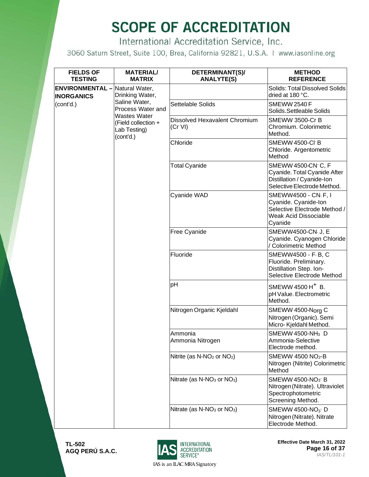International Accreditation Service, Inc.

3060 Saturn Street, Suite 100, Brea, California 92821, U.S.A. | www.iasonline.org

| <b>FIELDS OF</b><br><b>TESTING</b>                         | <b>MATERIAL/</b><br><b>MATRIX</b>                                | DETERMINANT(S)/<br><b>ANALYTE(S)</b>               | <b>METHOD</b><br><b>REFERENCE</b>                                                                                      |                                                                        |
|------------------------------------------------------------|------------------------------------------------------------------|----------------------------------------------------|------------------------------------------------------------------------------------------------------------------------|------------------------------------------------------------------------|
| <b>ENVIRONMENTAL</b> - Natural Water,<br><b>INORGANICS</b> | Drinking Water,                                                  |                                                    | <b>Solids: Total Dissolved Solids</b><br>dried at 180 °C.                                                              |                                                                        |
| (cont'd.)                                                  | Saline Water,<br>Process Water and                               | Settelable Solids                                  | <b>SMEWW 2540 F</b><br>Solids. Settleable Solids                                                                       |                                                                        |
|                                                            | Wastes Water<br>(Field collection +<br>Lab Testing)<br>(cont'd.) | Dissolved Hexavalent Chromium<br>(Cr VI)           | SMEWW 3500-Cr B<br>Chromium. Colorimetric<br>Method.                                                                   |                                                                        |
|                                                            |                                                                  | Chloride                                           | SMEWW 4500-CI B<br>Chloride. Argentometric<br>Method                                                                   |                                                                        |
|                                                            |                                                                  | <b>Total Cyanide</b>                               | SMEWW 4500-CN-C, F<br>Cyanide. Total Cyanide After<br>Distillation / Cyanide-Ion<br>Selective Electrode Method.        |                                                                        |
|                                                            |                                                                  | Cyanide WAD                                        | SMEWW4500 - CN-F, I<br>Cyanide. Cyanide-lon<br>Selective Electrode Method /<br><b>Weak Acid Dissociable</b><br>Cyanide |                                                                        |
|                                                            |                                                                  | Free Cyanide                                       | SMEWW4500-CN-J, E<br>Cyanide. Cyanogen Chloride<br>/ Colorimetric Method                                               |                                                                        |
|                                                            |                                                                  | Fluoride                                           | SMEWW4500 - F-B, C<br>Fluoride. Preliminary.<br>Distillation Step. Ion-<br>Selective Electrode Method                  |                                                                        |
|                                                            |                                                                  | pH                                                 | SMEWW 4500 H <sup>+</sup> B.<br>pH Value. Electrometric<br>Method.                                                     |                                                                        |
|                                                            |                                                                  | Nitrogen Organic Kjeldahl                          | SMEWW 4500-Norg C<br>Nitrogen (Organic). Semi<br>Micro-Kjeldahl Method.                                                |                                                                        |
|                                                            |                                                                  |                                                    | Ammonia<br>Ammonia Nitrogen                                                                                            | SMEWW 4500-NH <sub>3</sub> D<br>Ammonia-Selective<br>Electrode method. |
|                                                            |                                                                  | Nitrite (as N-NO <sub>2</sub> or NO <sub>2</sub> ) | SMEWW 4500 NO <sub>2</sub> -B<br>Nitrogen (Nitrite) Colorimetric<br>Method                                             |                                                                        |
|                                                            |                                                                  | Nitrate (as $N-NO_3$ or $NO_3$ )                   | SMEWW 4500-NO <sub>3</sub> B<br>Nitrogen (Nitrate). Ultraviolet<br>Spectrophotometric<br>Screening Method.             |                                                                        |
|                                                            |                                                                  | Nitrate (as $N-NO3$ or $NO3$ )                     | SMEWW 4500-NO <sub>3</sub> -D<br>Nitrogen (Nitrate). Nitrate<br>Electrode Method.                                      |                                                                        |



**Effective Date March 31, 2022 Page 16 of 37** *IAS/TL/101-1*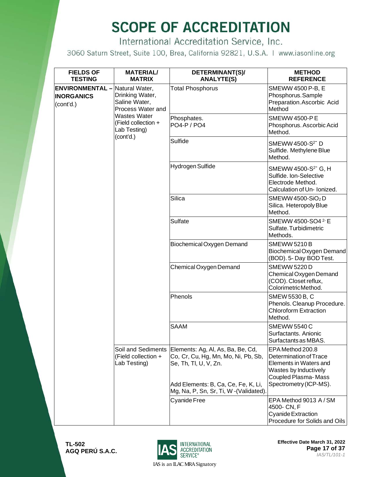International Accreditation Service, Inc.

3060 Saturn Street, Suite 100, Brea, California 92821, U.S.A. | www.iasonline.org

| <b>FIELDS OF</b><br><b>TESTING</b>                                      | <b>MATERIAL/</b><br><b>MATRIX</b>                                       | DETERMINANT(S)/<br><b>ANALYTE(S)</b>                                                                                                                                                                     | <b>METHOD</b><br><b>REFERENCE</b>                                                                                                              |
|-------------------------------------------------------------------------|-------------------------------------------------------------------------|----------------------------------------------------------------------------------------------------------------------------------------------------------------------------------------------------------|------------------------------------------------------------------------------------------------------------------------------------------------|
| <b>ENVIRONMENTAL - Natural Water,</b><br><b>INORGANICS</b><br>(cont'd.) | Drinking Water,<br>Saline Water,<br>Process Water and                   | <b>Total Phosphorus</b>                                                                                                                                                                                  | SMEWW 4500 P-B, E<br>Phosphorus.Sample<br>Preparation. Ascorbic Acid<br>Method                                                                 |
|                                                                         | <b>Wastes Water</b><br>(Field collection +<br>Lab Testing)<br>(cont'd.) | Phosphates.<br><b>PO4-P / PO4</b>                                                                                                                                                                        | <b>SMEWW 4500-PE</b><br>Phosphorus. Ascorbic Acid<br>Method.                                                                                   |
|                                                                         |                                                                         | Sulfide                                                                                                                                                                                                  | SMEWW 4500-S <sup>2-</sup> D<br>Sulfide. Methylene Blue<br>Method.                                                                             |
|                                                                         |                                                                         | Hydrogen Sulfide                                                                                                                                                                                         | SMEWW 4500-S <sup>2</sup> G, H<br>Sulfide. Ion-Selective<br>Electrode Method.<br>Calculation of Un-Ionized.                                    |
|                                                                         |                                                                         | Silica                                                                                                                                                                                                   | SMEWW 4500-SiO <sub>2</sub> D<br>Silica. Heteropoly Blue<br>Method.                                                                            |
|                                                                         | (Field collection +<br>Lab Testing)                                     | Sulfate                                                                                                                                                                                                  | SMEWW 4500-SO4 2-E<br>Sulfate. Turbidimetric<br>Methods.                                                                                       |
|                                                                         |                                                                         | Biochemical Oxygen Demand                                                                                                                                                                                | <b>SMEWW 5210 B</b><br>Biochemical Oxygen Demand<br>(BOD). 5- Day BOD Test.                                                                    |
|                                                                         |                                                                         | Chemical Oxygen Demand                                                                                                                                                                                   | <b>SMEWW 5220 D</b><br>Chemical Oxygen Demand<br>(COD). Closet reflux,<br>ColorimetricMethod.                                                  |
|                                                                         |                                                                         | Phenols                                                                                                                                                                                                  | SMEW 5530 B, C<br>Phenols. Cleanup Procedure.<br><b>Chloroform Extraction</b><br>Method.                                                       |
|                                                                         |                                                                         | <b>SAAM</b>                                                                                                                                                                                              | <b>SMEWW 5540 C</b><br>Surfactants. Anionic<br>Surfactants as MBAS.                                                                            |
|                                                                         |                                                                         | Soil and Sediments   Elements: Ag, Al, As, Ba, Be, Cd,<br>Co, Cr, Cu, Hg, Mn, Mo, Ni, Pb, Sb,<br>Se, Th, Tl, U, V, Zn.<br>Add Elements: B, Ca, Ce, Fe, K, Li,<br>Mg, Na, P, Sn, Sr, Ti, W - (Validated). | EPA Method 200.8<br>Determination of Trace<br>Elements in Waters and<br>Wastes by Inductively<br>Coupled Plasma-Mass<br>Spectrometry (ICP-MS). |
|                                                                         |                                                                         | <b>Cyanide Free</b>                                                                                                                                                                                      | EPA Method 9013 A / SM<br>4500- CN, F<br><b>Cyanide Extraction</b><br>Procedure for Solids and Oils                                            |



**Effective Date March 31, 2022 Page 17 of 37** *IAS/TL/101-1*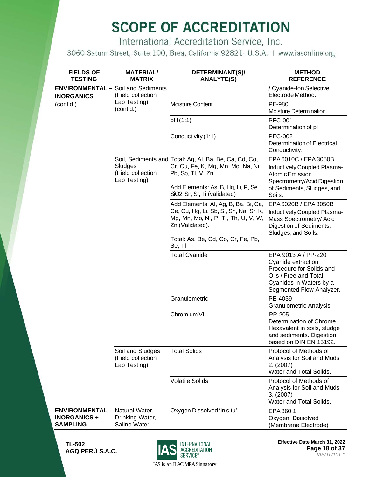International Accreditation Service, Inc.

3060 Saturn Street, Suite 100, Brea, California 92821, U.S.A. | www.iasonline.org

| <b>FIELDS OF</b><br><b>TESTING</b>                              | <b>MATERIAL/</b><br><b>MATRIX</b>                       | DETERMINANT(S)/<br><b>ANALYTE(S)</b>                                                                                                     | <b>METHOD</b><br><b>REFERENCE</b>                                                                                                                     |
|-----------------------------------------------------------------|---------------------------------------------------------|------------------------------------------------------------------------------------------------------------------------------------------|-------------------------------------------------------------------------------------------------------------------------------------------------------|
| <b>ENVIRONMENTAL -</b><br><b>INORGANICS</b>                     | Soil and Sediments<br>(Field collection +               |                                                                                                                                          | <b>Cyanide-Ion Selective</b><br>Electrode Method.                                                                                                     |
| (cont'd.)                                                       | Lab Testing)<br>(cont'd.)                               | <b>Moisture Content</b>                                                                                                                  | PE-980<br>Moisture Determination.                                                                                                                     |
|                                                                 |                                                         | pH(1:1)                                                                                                                                  | <b>PEC-001</b><br>Determination of pH                                                                                                                 |
|                                                                 |                                                         | Conductivity (1:1)                                                                                                                       | <b>PEC-002</b><br><b>Determination of Electrical</b><br>Conductivity.                                                                                 |
|                                                                 | Sludges<br>(Field collection +<br>Lab Testing)          | Soil, Sediments and Total: Ag, Al, Ba, Be, Ca, Cd, Co,<br>Cr, Cu, Fe, K, Mg, Mn, Mo, Na, Ni,<br>Pb, Sb, Tl, V, Zn.                       | EPA 6010C / EPA 3050B<br>Inductively Coupled Plasma-<br>Atomic Emission                                                                               |
|                                                                 |                                                         | Add Elements: As, B, Hg, Li, P, Se,<br>SiO2, Sn, Sr, Ti (validated)                                                                      | Spectrometry/Acid Digestion<br>of Sediments, Sludges, and<br>Soils.                                                                                   |
|                                                                 |                                                         | Add Elements: Al, Ag, B, Ba, Bi, Ca,<br>Ce, Cu, Hg, Li, Sb, Si, Sn, Na, Sr, K,<br>Mg, Mn, Mo, Ni, P, Ti, Th, U, V, W,<br>Zn (Validated). | EPA 6020B / EPA 3050B<br>Inductively Coupled Plasma-<br>Mass Spectrometry/ Acid<br>Digestion of Sediments,<br>Sludges, and Soils.                     |
|                                                                 |                                                         | Total: As, Be, Cd, Co, Cr, Fe, Pb,<br>Se, TI                                                                                             |                                                                                                                                                       |
|                                                                 |                                                         | <b>Total Cyanide</b>                                                                                                                     | EPA 9013 A / PP-220<br>Cyanide extraction<br>Procedure for Solids and<br>Oils / Free and Total<br>Cyanides in Waters by a<br>Segmented Flow Analyzer. |
|                                                                 |                                                         | Granulometric                                                                                                                            | PE-4039<br><b>Granulometric Analysis</b>                                                                                                              |
|                                                                 |                                                         | Chromium VI                                                                                                                              | PP-205<br>Determination of Chrome<br>Hexavalent in soils, sludge<br>and sediments. Digestion<br>based on DIN EN 15192.                                |
|                                                                 | Soil and Sludges<br>(Field collection +<br>Lab Testing) | <b>Total Solids</b>                                                                                                                      | Protocol of Methods of<br>Analysis for Soil and Muds<br>2. (2007)<br>Water and Total Solids.                                                          |
|                                                                 |                                                         | <b>Volatile Solids</b>                                                                                                                   | Protocol of Methods of<br>Analysis for Soil and Muds<br>3. (2007)<br>Water and Total Solids.                                                          |
| <b>ENVIRONMENTAL -</b><br><b>INORGANICS+</b><br><b>SAMPLING</b> | Natural Water,<br>Drinking Water,<br>Saline Water,      | Oxygen Dissolved 'in situ'                                                                                                               | EPA360.1<br>Oxygen, Dissolved<br>(Membrane Electrode)                                                                                                 |

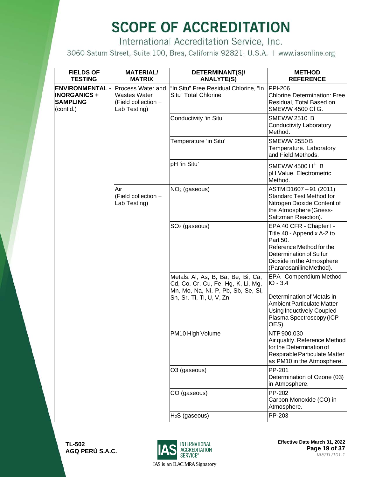International Accreditation Service, Inc.

3060 Saturn Street, Suite 100, Brea, California 92821, U.S.A. | www.iasonline.org

| <b>FIELDS OF</b><br><b>TESTING</b>                                            | <b>MATERIAL/</b><br><b>MATRIX</b>                                               | DETERMINANT(S)/<br><b>ANALYTE(S)</b>                                                                           | <b>METHOD</b><br><b>REFERENCE</b>                                                                                                                                                 |
|-------------------------------------------------------------------------------|---------------------------------------------------------------------------------|----------------------------------------------------------------------------------------------------------------|-----------------------------------------------------------------------------------------------------------------------------------------------------------------------------------|
| <b>ENVIRONMENTAL -</b><br><b>INORGANICS +</b><br><b>SAMPLING</b><br>(cont'd.) | Process Water and<br><b>Wastes Water</b><br>(Field collection +<br>Lab Testing) | "In Situ" Free Residual Chlorine, "In<br>Situ" Total Chlorine                                                  | <b>PPI-206</b><br><b>Chlorine Determination: Free</b><br>Residual, Total Based on<br>SMEWW 4500 CI G.                                                                             |
|                                                                               |                                                                                 | Conductivity 'in Situ'                                                                                         | <b>SMEWW 2510 B</b><br>Conductivity Laboratory<br>Method.                                                                                                                         |
|                                                                               |                                                                                 | Temperature 'in Situ'                                                                                          | <b>SMEWW 2550 B</b><br>Temperature. Laboratory<br>and Field Methods.                                                                                                              |
|                                                                               |                                                                                 | pH 'in Situ'                                                                                                   | SMEWW 4500 H <sup>+</sup> B<br>pH Value. Electrometric<br>Method.                                                                                                                 |
|                                                                               | Air<br>(Field collection +<br>Lab Testing)                                      | $NO2$ (gaseous)                                                                                                | ASTM D1607-91 (2011)<br><b>Standard Test Method for</b><br>Nitrogen Dioxide Content of<br>the Atmosphere (Griess-<br>Saltzman Reaction).                                          |
|                                                                               |                                                                                 | $SO2$ (gaseous)                                                                                                | EPA 40 CFR - Chapter I -<br>Title 40 - Appendix A-2 to<br>Part 50.<br>Reference Method for the<br>Determination of Sulfur<br>Dioxide in the Atmosphere<br>(PararosanilineMethod). |
|                                                                               |                                                                                 | Metals: Al, As, B, Ba, Be, Bi, Ca,<br>Cd, Co, Cr, Cu, Fe, Hg, K, Li, Mg,<br>Mn, Mo, Na, Ni, P, Pb, Sb, Se, Si, | EPA - Compendium Method<br>$IO - 3.4$                                                                                                                                             |
|                                                                               |                                                                                 | Sn, Sr, Ti, Tl, U, V, Zn                                                                                       | Determination of Metals in<br><b>Ambient Particulate Matter</b><br><b>Using Inductively Coupled</b><br>Plasma Spectroscopy (ICP-<br>OES).                                         |
|                                                                               |                                                                                 | PM10 High Volume                                                                                               | NTP 900.030<br>Air quality. Reference Method<br>for the Determination of<br>Respirable Particulate Matter<br>as PM10 in the Atmosphere.                                           |
|                                                                               |                                                                                 | O3 (gaseous)                                                                                                   | PP-201<br>Determination of Ozone (03)<br>in Atmosphere.                                                                                                                           |
|                                                                               |                                                                                 | CO (gaseous)                                                                                                   | PP-202<br>Carbon Monoxide (CO) in<br>Atmosphere.                                                                                                                                  |
|                                                                               |                                                                                 | $H2S$ (gaseous)                                                                                                | PP-203                                                                                                                                                                            |



**Effective Date March 31, 2022 Page 19 of 37** *IAS/TL/101-1*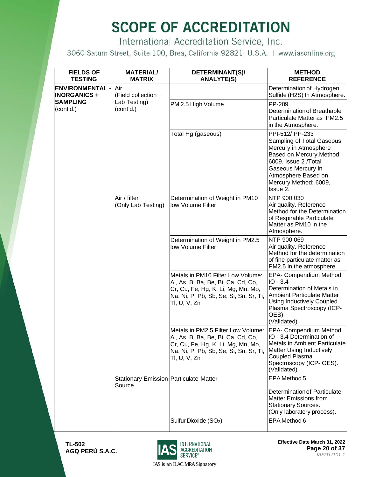International Accreditation Service, Inc.

3060 Saturn Street, Suite 100, Brea, California 92821, U.S.A. | www.iasonline.org

| <b>FIELDS OF</b><br><b>TESTING</b>            | <b>MATERIAL/</b><br><b>MATRIX</b>                                                             | DETERMINANT(S)/<br><b>ANALYTE(S)</b>                                                                                                                                     | <b>METHOD</b><br><b>REFERENCE</b>                                                                                                                                                                            |
|-----------------------------------------------|-----------------------------------------------------------------------------------------------|--------------------------------------------------------------------------------------------------------------------------------------------------------------------------|--------------------------------------------------------------------------------------------------------------------------------------------------------------------------------------------------------------|
| <b>ENVIRONMENTAL -</b><br><b>INORGANICS +</b> | Air<br>(Field collection +                                                                    |                                                                                                                                                                          | Determination of Hydrogen<br>Sulfide (H2S) In Atmosphere.                                                                                                                                                    |
| <b>SAMPLING</b><br>(cont'd.)                  | Lab Testing)<br>(cont'd.)                                                                     | PM 2.5 High Volume                                                                                                                                                       | PP-209<br>Determination of Breathable<br>Particulate Matter as PM2.5<br>in the Atmosphere.                                                                                                                   |
|                                               |                                                                                               | Total Hg (gaseous)                                                                                                                                                       | PPI-512/ PP-233<br>Sampling of Total Gaseous<br>Mercury in Atmosphere<br>Based on Mercury. Method:<br>6009, Issue 2 /Total<br>Gaseous Mercury in<br>Atmosphere Based on<br>Mercury.Method: 6009,<br>Issue 2. |
|                                               | Air / filter<br>(Only Lab Testing)<br><b>Stationary Emission Particulate Matter</b><br>Source | Determination of Weight in PM10<br>low Volume Filter                                                                                                                     | NTP 900.030<br>Air quality. Reference<br>Method for the Determination<br>of Respirable Particulate<br>Matter as PM10 in the<br>Atmosphere.                                                                   |
|                                               |                                                                                               | Determination of Weight in PM2.5<br>low Volume Filter                                                                                                                    | NTP 900.069<br>Air quality. Reference<br>Method for the determination<br>of fine particulate matter as<br>PM2.5 in the atmosphere.                                                                           |
|                                               |                                                                                               | Metals in PM10 Filter Low Volume:<br>Al, As, B, Ba, Be, Bi, Ca, Cd, Co,<br>Cr, Cu, Fe, Hg, K, Li, Mg, Mn, Mo,<br>Na, Ni, P, Pb, Sb, Se, Si, Sn, Sr, Ti,<br>Tl, U, V, Zn  | EPA- Compendium Method<br>$IO - 3.4$<br>Determination of Metals in<br><b>Ambient Particulate Matter</b><br><b>Using Inductively Coupled</b><br>Plasma Spectroscopy (ICP-<br>OES).<br>(Validated)             |
|                                               |                                                                                               | Metals in PM2.5 Filter Low Volume:<br>Al, As, B, Ba, Be, Bi, Ca, Cd, Co,<br>Cr, Cu, Fe, Hg, K, Li, Mg, Mn, Mo,<br>Na, Ni, P, Pb, Sb, Se, Si, Sn, Sr, Ti,<br>TI, U, V, Zn | EPA- Compendium Method<br>IIO - 3.4 Determination of<br>Metals in Ambient Particulate<br><b>Matter Using Inductively</b><br>Coupled Plasma<br>Spectroscopy (ICP- OES).<br>(Validated)                        |
|                                               |                                                                                               |                                                                                                                                                                          | EPA Method 5<br><b>Determination of Particulate</b><br><b>Matter Emissions from</b><br><b>Stationary Sources.</b>                                                                                            |
|                                               |                                                                                               | Sulfur Dioxide (SO <sub>2</sub> )                                                                                                                                        | (Only laboratory process).<br>EPA Method 6                                                                                                                                                                   |



**Effective Date March 31, 2022 Page 20 of 37** *IAS/TL/101-1*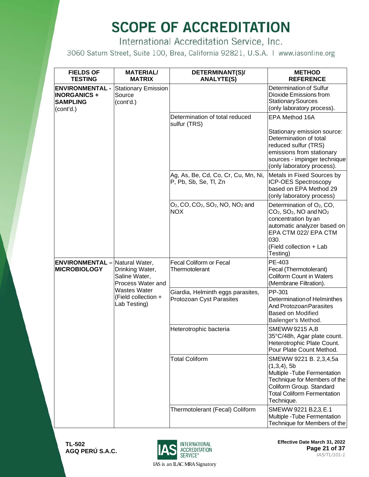International Accreditation Service, Inc.

3060 Saturn Street, Suite 100, Brea, California 92821, U.S.A. | www.iasonline.org

| <b>FIELDS OF</b><br><b>TESTING</b>                                           | <b>MATERIAL/</b><br><b>MATRIX</b>                                       | DETERMINANT(S)/<br><b>ANALYTE(S)</b>                                                                           | <b>METHOD</b><br><b>REFERENCE</b>                                                                                                                                                                                      |
|------------------------------------------------------------------------------|-------------------------------------------------------------------------|----------------------------------------------------------------------------------------------------------------|------------------------------------------------------------------------------------------------------------------------------------------------------------------------------------------------------------------------|
| <b>ENVIRONMENTAL -</b><br><b>INORGANICS+</b><br><b>SAMPLING</b><br>(cont'd.) | <b>Stationary Emission</b><br>Source<br>(cont'd.)                       |                                                                                                                | Determination of Sulfur<br>Dioxide Emissions from<br><b>Stationary Sources</b><br>(only laboratory process).                                                                                                           |
|                                                                              |                                                                         | Determination of total reduced<br>sulfur (TRS)                                                                 | EPA Method 16A                                                                                                                                                                                                         |
|                                                                              |                                                                         |                                                                                                                | Stationary emission source:<br>Determination of total<br>reduced sulfur (TRS)<br>emissions from stationary<br>sources - impinger technique<br>(only laboratory process).                                               |
|                                                                              |                                                                         | Ag, As, Be, Cd, Co, Cr, Cu, Mn, Ni,<br>P, Pb, Sb, Se, Tl, Zn                                                   | Metals in Fixed Sources by<br><b>ICP-OES Spectroscopy</b><br>based on EPA Method 29<br>(only laboratory process)                                                                                                       |
|                                                                              |                                                                         | $O_2$ , CO, CO <sub>2</sub> , SO <sub>2</sub> , NO, NO <sub>2</sub> and<br><b>NOX</b>                          | Determination of O <sub>2</sub> , CO,<br>$CO2$ , SO <sub>2</sub> , NO and NO <sub>2</sub><br>concentration by an<br>automatic analyzer based on<br>EPA CTM 022/ EPA CTM<br>030.<br>(Field collection + Lab<br>Testing) |
| <b>ENVIRONMENTAL-</b><br><b>MICROBIOLOGY</b>                                 | Natural Water,<br>Drinking Water,<br>Saline Water,<br>Process Water and | Fecal Coliform or Fecal<br>Thermotolerant                                                                      | PE-403<br>Fecal (Thermotolerant)<br><b>Coliform Count in Waters</b><br>(Membrane Filtration).                                                                                                                          |
|                                                                              | <b>Wastes Water</b><br>(Field collection +<br>Lab Testing)              | Giardia, Helminth eggs parasites,<br>Protozoan Cyst Parasites                                                  | PP-301<br>Determination of Helminthes<br>And Protozoan Parasites<br><b>Based on Modified</b><br>Bailenger's Method.                                                                                                    |
|                                                                              | Heterotrophic bacteria                                                  | <b>SMEWW 9215 A,B</b><br>35°C/48h, Agar plate count.<br>Heterotrophic Plate Count.<br>Pour Plate Count Method. |                                                                                                                                                                                                                        |
|                                                                              |                                                                         | <b>Total Coliform</b>                                                                                          | SMEWW 9221 B. 2,3,4,5a<br>$(1,3,4)$ , 5b<br>Multiple - Tube Fermentation<br>Technique for Members of the<br>Coliform Group. Standard<br><b>Total Coliform Fermentation</b><br>Technique.                               |
|                                                                              |                                                                         | Thermotolerant (Fecal) Coliform                                                                                | SMEWW 9221 B.2,3, E.1<br>Multiple - Tube Fermentation<br>Technique for Members of the                                                                                                                                  |

**TL-502 AGQ PERÚ S.A.C.**



**Effective Date March 31, 2022 Page 21 of 37** *IAS/TL/101-1*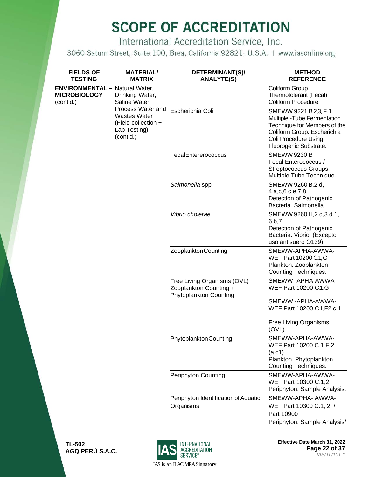International Accreditation Service, Inc.

3060 Saturn Street, Suite 100, Brea, California 92821, U.S.A. | www.iasonline.org

| <b>FIELDS OF</b><br><b>TESTING</b>                                        | <b>MATERIAL/</b><br><b>MATRIX</b>                                                     | DETERMINANT(S)/<br><b>ANALYTE(S)</b>                                                                      | <b>METHOD</b><br><b>REFERENCE</b>                                                                                                                                      |
|---------------------------------------------------------------------------|---------------------------------------------------------------------------------------|-----------------------------------------------------------------------------------------------------------|------------------------------------------------------------------------------------------------------------------------------------------------------------------------|
| <b>ENVIRONMENTAL</b> - Natural Water,<br><b>MICROBIOLOGY</b><br>(cont'd.) | Drinking Water,<br>Saline Water,                                                      |                                                                                                           | Coliform Group.<br>Thermotolerant (Fecal)<br>Coliform Procedure.                                                                                                       |
|                                                                           | Process Water and<br>Wastes Water<br>(Field collection +<br>Lab Testing)<br>(cont'd.) | Escherichia Coli                                                                                          | SMEWW 9221 B.2,3, F.1<br>Multiple - Tube Fermentation<br>Technique for Members of the<br>Coliform Group. Escherichia<br>Coli Procedure Using<br>Fluorogenic Substrate. |
|                                                                           |                                                                                       | FecalEntererococcus                                                                                       | <b>SMEWW9230 B</b><br>Fecal Enterococcus /<br>Streptococcus Groups.<br>Multiple Tube Technique.                                                                        |
|                                                                           |                                                                                       | Salmonella spp                                                                                            | SMEWW 9260 B, 2.d,<br>4.a,c,6.c,e,7,8<br>Detection of Pathogenic<br>Bacteria. Salmonella                                                                               |
|                                                                           |                                                                                       | Vibrio cholerae                                                                                           | SMEWW 9260 H, 2.d, 3.d.1,<br>6.b,7<br>Detection of Pathogenic<br>Bacteria. Vibrio. (Excepto<br>uso antisuero O139).                                                    |
|                                                                           |                                                                                       | Zooplankton Counting                                                                                      | SMEWW-APHA-AWWA-<br>WEF Part 10200 C.1, G<br>Plankton. Zooplankton<br>Counting Techniques.                                                                             |
|                                                                           |                                                                                       | Free Living Organisms (OVL)<br>Zooplankton Counting +<br>Phytoplankton Counting                           | SMEWW-APHA-AWWA-<br>WEF Part 10200 C.1, G<br>SMEWW-APHA-AWWA-<br>WEF Part 10200 C.1, F2.c.1                                                                            |
|                                                                           |                                                                                       |                                                                                                           | Free Living Organisms<br>(OVL)                                                                                                                                         |
|                                                                           | Phytoplankton Counting                                                                | SMEWW-APHA-AWWA-<br>WEF Part 10200 C.1 F.2.<br>(a, c1)<br>Plankton. Phytoplankton<br>Counting Techniques. |                                                                                                                                                                        |
|                                                                           |                                                                                       | Periphyton Counting                                                                                       | SMEWW-APHA-AWWA-<br>WEF Part 10300 C.1,2<br>Periphyton. Sample Analysis.                                                                                               |
|                                                                           |                                                                                       | Periphyton Identification of Aquatic<br>Organisms                                                         | SMEWW-APHA- AWWA-<br>WEF Part 10300 C.1, 2./<br>Part 10900<br>Periphyton. Sample Analysis/                                                                             |



**Effective Date March 31, 2022 Page 22 of 37** *IAS/TL/101-1*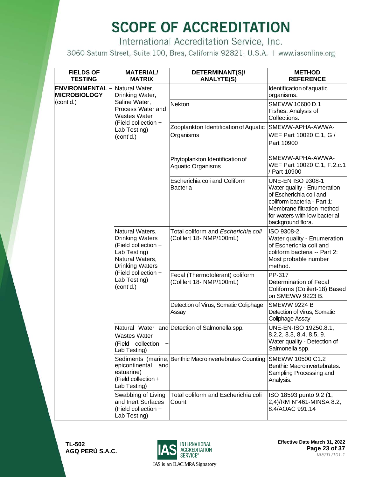International Accreditation Service, Inc.

3060 Saturn Street, Suite 100, Brea, California 92821, U.S.A. | www.iasonline.org

| <b>FIELDS OF</b><br><b>TESTING</b>           | <b>MATERIAL/</b><br><b>MATRIX</b>                                                                                                                                                 | DETERMINANT(S)/<br><b>ANALYTE(S)</b>                            | <b>METHOD</b><br><b>REFERENCE</b>                                                                                                                                                                     |
|----------------------------------------------|-----------------------------------------------------------------------------------------------------------------------------------------------------------------------------------|-----------------------------------------------------------------|-------------------------------------------------------------------------------------------------------------------------------------------------------------------------------------------------------|
| <b>ENVIRONMENTAL-</b><br><b>MICROBIOLOGY</b> | Natural Water,<br>Drinking Water,                                                                                                                                                 |                                                                 | Identification of aquatic<br>organisms.                                                                                                                                                               |
| (cont'd.)                                    | Saline Water,<br>Process Water and<br><b>Wastes Water</b><br>(Field collection +<br>Lab Testing)<br>(cont'd.)                                                                     | Nekton                                                          | SMEWW 10600 D.1<br>Fishes. Analysis of<br>Collections.                                                                                                                                                |
|                                              |                                                                                                                                                                                   | Zooplankton Identification of Aquatic<br>Organisms              | SMEWW-APHA-AWWA-<br>WEF Part 10020 C.1, G /<br>Part 10900                                                                                                                                             |
|                                              |                                                                                                                                                                                   | Phytoplankton Identification of<br>Aquatic Organisms            | SMEWW-APHA-AWWA-<br>WEF Part 10020 C.1, F.2.c.1<br>/ Part 10900                                                                                                                                       |
|                                              |                                                                                                                                                                                   | Escherichia coli and Coliform<br>Bacteria                       | <b>UNE-EN ISO 9308-1</b><br>Water quality - Enumeration<br>of Escherichia coli and<br>coliform bacteria - Part 1:<br>Membrane filtration method<br>for waters with low bacterial<br>background flora. |
|                                              | Natural Waters,<br><b>Drinking Waters</b><br>(Field collection +<br>Lab Testing)<br>Natural Waters,<br><b>Drinking Waters</b><br>(Field collection +<br>Lab Testing)<br>(cont'd.) | Total coliform and Escherichia coli<br>(Colilert 18- NMP/100mL) | ISO 9308-2.<br>Water quality - Enumeration<br>of Escherichia coli and<br>coliform bacteria -- Part 2:<br>Most probable number<br>method.                                                              |
|                                              |                                                                                                                                                                                   | Fecal (Thermotolerant) coliform<br>(Colilert 18- NMP/100mL)     | PP-317<br>Determination of Fecal<br>Coliforms (Colilert-18) Based<br>on SMEWW 9223 B.                                                                                                                 |
|                                              |                                                                                                                                                                                   | Detection of Virus; Somatic Coliphage<br>Assay                  | <b>SMEWW 9224 B</b><br>Detection of Virus; Somatic<br>Coliphage Assay                                                                                                                                 |
|                                              | <b>Wastes Water</b><br>(Field collection<br>$+$<br>Lab Testing)                                                                                                                   | Natural Water and Detection of Salmonella spp.                  | UNE-EN-ISO 19250.8.1,<br>8.2.2, 8.3, 8.4, 8.5, 9.<br>Water quality - Detection of<br>Salmonella spp.                                                                                                  |
|                                              | epicontinental and<br>estuarine)<br>(Field collection +<br>Lab Testing)                                                                                                           | Sediments (marine, Benthic Macroinvertebrates Counting          | SMEWW 10500 C1.2<br>Benthic Macroinvertebrates.<br>Sampling Processing and<br>Analysis.                                                                                                               |
|                                              | Swabbing of Living<br>and Inert Surfaces<br>(Field collection +<br>Lab Testing)                                                                                                   | Total coliform and Escherichia coli<br>Count                    | ISO 18593 punto 9.2 (1,<br>2,4)/RM N°461-MINSA 8.2,<br>8.4/AOAC 991.14                                                                                                                                |

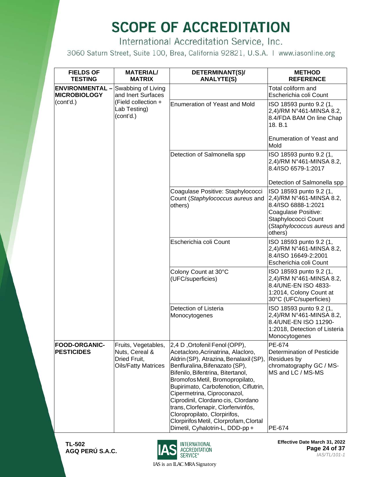International Accreditation Service, Inc.

3060 Saturn Street, Suite 100, Brea, California 92821, U.S.A. | www.iasonline.org

| <b>FIELDS OF</b><br><b>TESTING</b>           | <b>MATERIAL/</b><br><b>MATRIX</b>                                                   | DETERMINANT(S)/<br><b>ANALYTE(S)</b>                                                                                                                                                                                                                                                                                                                                                                                                                                                     | <b>METHOD</b><br><b>REFERENCE</b>                                                                                                                                 |
|----------------------------------------------|-------------------------------------------------------------------------------------|------------------------------------------------------------------------------------------------------------------------------------------------------------------------------------------------------------------------------------------------------------------------------------------------------------------------------------------------------------------------------------------------------------------------------------------------------------------------------------------|-------------------------------------------------------------------------------------------------------------------------------------------------------------------|
| <b>ENVIRONMENTAL-</b><br><b>MICROBIOLOGY</b> | Swabbing of Living<br>and Inert Surfaces                                            |                                                                                                                                                                                                                                                                                                                                                                                                                                                                                          | Total coliform and<br>Escherichia coli Count                                                                                                                      |
| (cont'd.)                                    | (Field collection +<br>Lab Testing)<br>(cont'd.)                                    | <b>Enumeration of Yeast and Mold</b>                                                                                                                                                                                                                                                                                                                                                                                                                                                     | ISO 18593 punto 9.2 (1,<br>2,4)/RM N°461-MINSA 8.2,<br>8.4/FDA BAM On line Chap<br>18. B.1                                                                        |
|                                              |                                                                                     |                                                                                                                                                                                                                                                                                                                                                                                                                                                                                          | Enumeration of Yeast and<br>Mold                                                                                                                                  |
|                                              |                                                                                     | Detection of Salmonella spp                                                                                                                                                                                                                                                                                                                                                                                                                                                              | ISO 18593 punto 9.2 (1,<br>2,4)/RM N°461-MINSA 8.2,<br>8.4/ISO 6579-1:2017                                                                                        |
|                                              |                                                                                     |                                                                                                                                                                                                                                                                                                                                                                                                                                                                                          | Detection of Salmonella spp                                                                                                                                       |
|                                              |                                                                                     | Coagulase Positive: Staphylococci<br>Count (Staphylococcus aureus and<br>others)                                                                                                                                                                                                                                                                                                                                                                                                         | ISO 18593 punto 9.2 (1,<br>2,4)/RM N°461-MINSA 8.2,<br>8.4/ISO 6888-1:2021<br>Coagulase Positive:<br>Staphylococci Count<br>(Staphylococcus aureus and<br>others) |
|                                              |                                                                                     | Escherichia coli Count                                                                                                                                                                                                                                                                                                                                                                                                                                                                   | ISO 18593 punto 9.2 (1,<br>2,4)/RM N°461-MINSA 8.2,<br>8.4/ISO 16649-2:2001<br>Escherichia coli Count                                                             |
|                                              |                                                                                     | Colony Count at 30°C<br>(UFC/superficies)                                                                                                                                                                                                                                                                                                                                                                                                                                                | ISO 18593 punto 9.2 (1,<br>2,4)/RM N°461-MINSA 8.2,<br>8.4/UNE-EN ISO 4833-<br>1:2014, Colony Count at<br>30°C (UFC/superficies)                                  |
|                                              |                                                                                     | Detection of Listeria<br>Monocytogenes                                                                                                                                                                                                                                                                                                                                                                                                                                                   | ISO 18593 punto 9.2 (1,<br>2,4)/RM N°461-MINSA 8.2,<br>8.4/UNE-EN ISO 11290-<br>1:2018, Detection of Listeria<br>Monocytogenes                                    |
| <b>FOOD-ORGANIC-</b><br><b>PESTICIDES</b>    | Fruits, Vegetables,<br>Nuts, Cereal &<br>Dried Fruit,<br><b>Oils/Fatty Matrices</b> | 2,4 D, Ortofenil Fenol (OPP),<br>Acetacloro, Acrinatrina, Alacloro,<br>Aldrin (SP), Atrazina, Benalaxil (SP),<br>Benfluralina, Bifenazato (SP),<br>Bifenilo, Bifentrina, Bitertanol,<br>Bromofos Metil, Bromopropilato,<br>Bupirimato, Carbofenotion, Ciflutrin,<br>Cipermetrina, Ciproconazol,<br>Ciprodinil, Clordano cis, Clordano<br>trans, Clorfenapir, Clorfenvinfós,<br>Cloropropilato, Clorpirifos,<br>Clorpirifos Metil, Clorprofam, Clortal<br>Dimetil, Cyhalotrin-L, DDD-pp + | PE-674<br>Determination of Pesticide<br>Residues by<br>chromatography GC / MS-<br>MS and LC / MS-MS<br>PE-674                                                     |

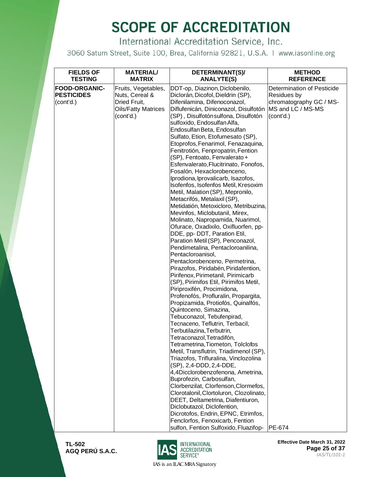International Accreditation Service, Inc.

3060 Saturn Street, Suite 100, Brea, California 92821, U.S.A. | www.iasonline.org

| <b>FIELDS OF</b><br><b>TESTING</b> | <b>MATERIAL/</b><br><b>MATRIX</b> | DETERMINANT(S)/<br><b>ANALYTE(S)</b>                                 | <b>METHOD</b><br><b>REFERENCE</b> |
|------------------------------------|-----------------------------------|----------------------------------------------------------------------|-----------------------------------|
| <b>FOOD-ORGANIC-</b>               | Fruits, Vegetables,               | DDT-op, Diazinon, Diclobenilo,                                       | Determination of Pesticide        |
| <b>PESTICIDES</b>                  | Nuts, Cereal &                    | Diclorán, Dicofol, Dieldrin (SP),                                    | <b>Residues by</b>                |
| (cont'd.)                          | Dried Fruit,                      | Difenilamina, Difenoconazol,                                         | chromatography GC / MS-           |
|                                    | <b>Oils/Fatty Matrices</b>        | Diflufenicán, Diniconazol, Disulfotón                                | MS and LC / MS-MS                 |
|                                    | (cont'd.)                         | (SP), Disulfotón sulfona, Disulfotón                                 | (cont'd.)                         |
|                                    |                                   | sulfoxido, Endosulfan Alfa,                                          |                                   |
|                                    |                                   | Endosulfan Beta, Endosulfan                                          |                                   |
|                                    |                                   | Sulfato, Etion, Etofumesato (SP),                                    |                                   |
|                                    |                                   | Etoprofos, Fenarimol, Fenazaquina,                                   |                                   |
|                                    |                                   | Fenitrotión, Fenpropatrin, Fention                                   |                                   |
|                                    |                                   | (SP), Fentoato, Fenvalerato +                                        |                                   |
|                                    |                                   | Esfenvalerato, Flucitrinato, Fonofos,                                |                                   |
|                                    |                                   | Fosalón, Hexaclorobenceno,<br>Iprodiona, Iprovalicarb, Isazofos,     |                                   |
|                                    |                                   | Isofenfos, Isofenfos Metil, Kresoxim                                 |                                   |
|                                    |                                   | Metil, Malation (SP), Mepronilo,                                     |                                   |
|                                    |                                   | Metacrifós, Metalaxil (SP),                                          |                                   |
|                                    |                                   | Metidatión, Metoxicloro, Metribuzina,                                |                                   |
|                                    |                                   | Mevinfos, Miclobutanil, Mirex,                                       |                                   |
|                                    |                                   | Molinato, Napropamida, Nuarimol,                                     |                                   |
|                                    |                                   | Ofurace, Oxadixilo, Oxifluorfen, pp-                                 |                                   |
|                                    |                                   | DDE, pp- DDT, Paration Etil,                                         |                                   |
|                                    |                                   | Paration Metil (SP), Penconazol,                                     |                                   |
|                                    |                                   | Pendimetalina, Pentacloroanilina,                                    |                                   |
|                                    |                                   | Pentacloroanisol,                                                    |                                   |
|                                    |                                   | Pentaclorobenceno, Permetrina,                                       |                                   |
|                                    |                                   | Pirazofos, Piridabén, Piridafention,                                 |                                   |
|                                    |                                   | Pirifenox, Pirimetanil, Pirimicarb                                   |                                   |
|                                    |                                   | (SP), Pirimifos Etil, Pirimifos Metil,<br>Piriproxifén, Procimidona, |                                   |
|                                    |                                   | Profenofós, Profluralin, Propargita,                                 |                                   |
|                                    |                                   | Propizamida, Protiofós, Quinalfós,                                   |                                   |
|                                    |                                   | Quintoceno, Simazina,                                                |                                   |
|                                    |                                   | Tebuconazol, Tebufenpirad,                                           |                                   |
|                                    |                                   | Tecnaceno, Teflutrin, Terbacil,                                      |                                   |
|                                    |                                   | Terbutilazina, Terbutrin,                                            |                                   |
|                                    |                                   | Tetraconazol, Tetradifón,                                            |                                   |
|                                    |                                   | Tetrametrina, Tiometon, Tolclofos                                    |                                   |
|                                    |                                   | Metil, Transflutrin, Triadimenol (SP),                               |                                   |
|                                    |                                   | Triazofos, Trifluralina, Vinclozolina                                |                                   |
|                                    |                                   | (SP), 2,4-DDD, 2,4-DDE,                                              |                                   |
|                                    |                                   | 4,4Dicclorobenzofenona, Ametrina,                                    |                                   |
|                                    |                                   | Buprofezin, Carbosulfan,<br>Clorbenzilat, Clorfenson, Clormefos,     |                                   |
|                                    |                                   | Clorotalonil, Clortoluron, Clozolinato,                              |                                   |
|                                    |                                   | DEET, Deltametrina, Diafentiuron,                                    |                                   |
|                                    |                                   | Diclobutazol, Diclofention,                                          |                                   |
|                                    |                                   | Dicrotofos, Endrin, EPNC, Etrimfos,                                  |                                   |
|                                    |                                   | Fenclorfos, Fenoxicarb, Fention                                      |                                   |
|                                    |                                   | sulfon, Fention Sulfoxido, Fluazifop-                                | PE-674                            |



**Effective Date March 31, 2022 Page 25 of 37** *IAS/TL/101-1*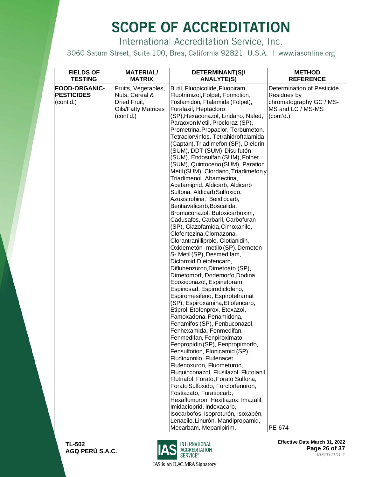International Accreditation Service, Inc.

3060 Saturn Street, Suite 100, Brea, California 92821, U.S.A. | www.iasonline.org

| <b>FIELDS OF</b>     | <b>MATERIAL/</b>           | DETERMINANT(S)/                                                  | <b>METHOD</b>              |
|----------------------|----------------------------|------------------------------------------------------------------|----------------------------|
| <b>TESTING</b>       | <b>MATRIX</b>              | <b>ANALYTE(S)</b>                                                | <b>REFERENCE</b>           |
| <b>FOOD-ORGANIC-</b> | Fruits, Vegetables,        | Butil, Fluopicolide, Fluopiram,                                  | Determination of Pesticide |
| <b>PESTICIDES</b>    | Nuts, Cereal &             | Fluotrimizol, Folpet, Formotion,                                 | Residues by                |
| (cont'd.)            | Dried Fruit,               | Fosfamidon, Ftalamida (Folpet),                                  | chromatography GC / MS-    |
|                      | <b>Oils/Fatty Matrices</b> | Furalaxil, Heptacloro                                            | MS and LC / MS-MS          |
|                      | (cont'd.)                  | (SP), Hexaconazol, Lindano, Naled,                               | (cont'd.)                  |
|                      |                            | Paraoxon Metil, Procloraz (SP),                                  |                            |
|                      |                            | Prometrina, Propaclor, Terbumeton,                               |                            |
|                      |                            | Tetraclorvinfos, Tetrahidroftalamida                             |                            |
|                      |                            | (Captan), Triadimefon (SP), Dieldrin                             |                            |
|                      |                            | (SUM), DDT (SUM), Disulfutón                                     |                            |
|                      |                            | (SUM), Endosulfan (SUM), Folpet                                  |                            |
|                      |                            | (SUM), Quintoceno (SUM), Paration                                |                            |
|                      |                            | Metil (SUM), Clordano, Triadimefon y<br>Triadimenol. Abamectina, |                            |
|                      |                            | Acetamiprid, Aldicarb, Aldicarb                                  |                            |
|                      |                            | Sulfona, Aldicarb Sulfoxido,                                     |                            |
|                      |                            | Azoxistrobina, Bendiocarb,                                       |                            |
|                      |                            | Bentiavalicarb, Boscalida,                                       |                            |
|                      |                            | Bromuconazol, Butoxicarboxim,                                    |                            |
|                      |                            | Cadusafos, Carbaril, Carbofuran                                  |                            |
|                      |                            | (SP), Ciazofamida, Cimoxanilo,                                   |                            |
|                      |                            | Clofentezina, Clomazona,                                         |                            |
|                      |                            | Clorantranilliprole, Clotianidin,                                |                            |
|                      |                            | Oxidemetón- metilo (SP), Demeton-                                |                            |
|                      |                            | S- Metil (SP), Desmedifam,                                       |                            |
|                      |                            | Diclormid, Dietofencarb,                                         |                            |
|                      |                            | Diflubenzuron, Dimetoato (SP),                                   |                            |
|                      |                            | Dimetomorf, Dodemorfo, Dodina,                                   |                            |
|                      |                            | Epoxiconazol, Espinetoram,                                       |                            |
|                      |                            | Espinosad, Espirodiclofeno,                                      |                            |
|                      |                            | Espiromesifeno, Espirotetramat                                   |                            |
|                      |                            | (SP), Espiroxamina, Etiofencarb,                                 |                            |
|                      |                            | Etiprol, Etofenprox, Etoxazol,<br>Famoxadona, Fenamidona,        |                            |
|                      |                            | Fenamifos (SP), Fenbuconazol,                                    |                            |
|                      |                            | Fenhexamida, Fenmedifan,                                         |                            |
|                      |                            | Fenmedifan, Fenpiroximato,                                       |                            |
|                      |                            | Fenpropidin (SP), Fenpropimorfo,                                 |                            |
|                      |                            | Fensulfotion, Flonicamid (SP),                                   |                            |
|                      |                            | Fludioxonilo, Flufenacet,                                        |                            |
|                      |                            | Flufenoxuron, Fluometuron,                                       |                            |
|                      |                            | Fluquinconazol, Flusilazol, Flutolanil,                          |                            |
|                      |                            | Flutriafol, Forato, Forato Sulfona,                              |                            |
|                      |                            | Forato Sulfoxido, Forclorfenuron,                                |                            |
|                      |                            | Fostiazato, Furatiocarb,                                         |                            |
|                      |                            | Hexaflumuron, Hexitiazox, Imazalil,                              |                            |
|                      |                            | Imidacloprid, Indoxacarb,                                        |                            |
|                      |                            | Isocarbofos, Isoproturón, Isoxabén,                              |                            |
|                      |                            | Lenacilo, Linurón, Mandipropamid,                                |                            |
|                      |                            | Mecarbam, Mepanipirim,                                           | PE-674                     |



**Effective Date March 31, 2022 Page 26 of 37** *IAS/TL/101-1*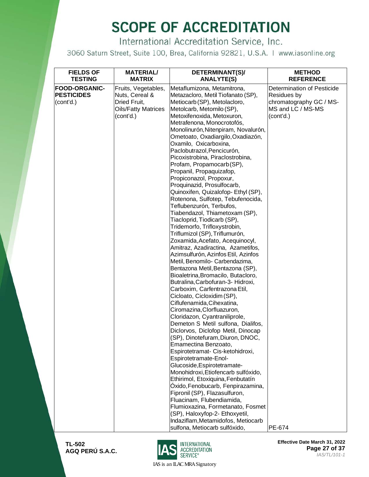International Accreditation Service, Inc.

3060 Saturn Street, Suite 100, Brea, California 92821, U.S.A. | www.iasonline.org

| <b>FIELDS OF</b><br><b>TESTING</b>                     | <b>MATERIAL/</b><br><b>MATRIX</b>                                                                | DETERMINANT(S)/<br><b>ANALYTE(S)</b>                                                                                                                                                                                                                                                                                                                                                                                                                                                                                                                                                                                                                                                                                                                                                                                                                                             | <b>METHOD</b><br><b>REFERENCE</b>                                                                      |
|--------------------------------------------------------|--------------------------------------------------------------------------------------------------|----------------------------------------------------------------------------------------------------------------------------------------------------------------------------------------------------------------------------------------------------------------------------------------------------------------------------------------------------------------------------------------------------------------------------------------------------------------------------------------------------------------------------------------------------------------------------------------------------------------------------------------------------------------------------------------------------------------------------------------------------------------------------------------------------------------------------------------------------------------------------------|--------------------------------------------------------------------------------------------------------|
| <b>FOOD-ORGANIC-</b><br><b>PESTICIDES</b><br>(cont'd.) | Fruits, Vegetables,<br>Nuts, Cereal &<br>Dried Fruit,<br><b>Oils/Fatty Matrices</b><br>(cont'd.) | Metaflumizona, Metamitrona,<br>Metazacloro, Metil Tiofanato (SP),<br>Metiocarb (SP), Metolacloro,<br>Metolcarb, Metomilo (SP),<br>Metoxifenoxida, Metoxuron,<br>Metrafenona, Monocrotofós,<br>Monolinurón, Nitenpiram, Novalurón,<br>Ometoato, Oxadiargilo, Oxadiazón,<br>Oxamilo, Oxicarboxina,<br>Paclobutrazol, Pencicurón,<br>Picoxistrobina, Piraclostrobina,<br>Profam, Propamocarb(SP),<br>Propanil, Propaquizafop,<br>Propiconazol, Propoxur,<br>Proquinazid, Prosulfocarb,<br>Quinoxifen, Quizalofop- Ethyl (SP),<br>Rotenona, Sulfotep, Tebufenocida,<br>Teflubenzurón, Terbufos,<br>Tiabendazol, Thiametoxam (SP),<br>Tiacloprid, Tiodicarb (SP),<br>Tridemorfo, Trifloxystrobin,<br>Triflumizol (SP), Triflumurón,<br>Zoxamida, Acefato, Acequinocyl,<br>Amitraz, Azadiractina, Azametifos,<br>Azimsulfurón, Azinfos Etil, Azinfos<br>Metil, Benomilo- Carbendazima, | Determination of Pesticide<br>Residues by<br>chromatography GC / MS-<br>MS and LC / MS-MS<br>(cont'd.) |
|                                                        |                                                                                                  | Bentazona Metil, Bentazona (SP),<br>Bioaletrina, Bromacilo, Butacloro,<br>Butralina, Carbofuran-3- Hidroxi,<br>Carboxim, Carfentrazona Etil,<br>Cicloato, Cicloxidim (SP),<br>Ciflufenamida, Cihexatina,<br>Ciromazina, Clorfluazuron,<br>Cloridazon, Cyantraniliprole,<br>Demeton S Metil sulfona, Dialifos,<br>Diclorvos, Diclofop Metil, Dinocap<br>(SP), Dinotefuram, Diuron, DNOC,<br>Emamectina Benzoato,<br>Espirotetramat- Cis-ketohidroxi,<br>Espirotetramate-Enol-<br>Glucoside, Espirotetramate-<br>Monohidroxi, Etiofencarb sulfóxido,<br>Ethirimol, Etoxiquina, Fenbutatín<br>Óxido, Fenobucarb, Fenpirazamina,<br>Fipronil (SP), Flazasulfuron,<br>Fluacinam, Flubendiamida,<br>Flumioxazina, Formetanato, Fosmet<br>(SP), Haloxyfop-2- Ethoxyetil,<br>Indaziflam, Metamidofos, Metiocarb<br>sulfona, Metiocarb sulfóxido,                                         | PE-674                                                                                                 |



**Effective Date March 31, 2022 Page 27 of 37** *IAS/TL/101-1*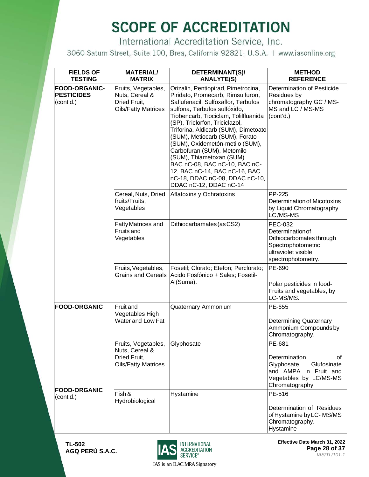International Accreditation Service, Inc.

3060 Saturn Street, Suite 100, Brea, California 92821, U.S.A. | www.iasonline.org

| <b>FIELDS OF</b><br><b>TESTING</b>                     | <b>MATERIAL/</b><br><b>MATRIX</b>                                                   | DETERMINANT(S)/<br><b>ANALYTE(S)</b>                                                                                                                                                                                                                                                                                                                                                                                                                                                                                           | <b>METHOD</b><br><b>REFERENCE</b>                                                                                                 |
|--------------------------------------------------------|-------------------------------------------------------------------------------------|--------------------------------------------------------------------------------------------------------------------------------------------------------------------------------------------------------------------------------------------------------------------------------------------------------------------------------------------------------------------------------------------------------------------------------------------------------------------------------------------------------------------------------|-----------------------------------------------------------------------------------------------------------------------------------|
| <b>FOOD-ORGANIC-</b><br><b>PESTICIDES</b><br>(cont'd.) | Fruits, Vegetables,<br>Nuts, Cereal &<br>Dried Fruit,<br><b>Oils/Fatty Matrices</b> | Orizalin, Pentiopirad, Pimetrocina,<br>Piridato, Promecarb, Rimsulfuron,<br>Saflufenacil, Sulfoxaflor, Terbufos<br>sulfona, Terbufos sulfóxido,<br>Tiobencarb, Tiociclam, Tolilfluanida<br>(SP), Triclorfon, Triciclazol,<br>Triforina, Aldicarb (SUM), Dimetoato<br>(SUM), Metiocarb (SUM), Forato<br>(SUM), Oxidemetón-metilo (SUM),<br>Carbofuran (SUM), Metomilo<br>(SUM), Thiametoxan (SUM)<br>BAC nC-08, BAC nC-10, BAC nC-<br>12, BAC nC-14, BAC nC-16, BAC<br>nC-18, DDAC nC-08, DDAC nC-10,<br>DDAC nC-12, DDAC nC-14 | Determination of Pesticide<br>Residues by<br>chromatography GC / MS-<br>MS and LC / MS-MS<br>(cont'd.)                            |
|                                                        | Cereal, Nuts, Dried<br>fruits/Fruits,<br>Vegetables                                 | Aflatoxins y Ochratoxins                                                                                                                                                                                                                                                                                                                                                                                                                                                                                                       | PP-225<br>Determination of Micotoxins<br>by Liquid Chromatography<br>LC/MS-MS                                                     |
|                                                        | <b>Fatty Matrices and</b><br>Fruits and<br>Vegetables                               | Dithiocarbamates (as CS2)                                                                                                                                                                                                                                                                                                                                                                                                                                                                                                      | <b>PEC-032</b><br>Determination of<br>Dithiocarbomates through<br>Spectrophotometric<br>ultraviolet visible<br>spectrophotometry. |
|                                                        | Fruits, Vegetables,<br><b>Grains and Cereals</b>                                    | Fosetil; Clorato; Etefon; Perclorato;<br>Acido Fosfónico + Sales; Fosetil-<br>Al(Suma).                                                                                                                                                                                                                                                                                                                                                                                                                                        | PE-690<br>Polar pesticides in food-<br>Fruits and vegetables, by<br>LC-MS/MS.                                                     |
| <b>FOOD-ORGANIC</b>                                    | <b>Fruit and</b><br>Vegetables High<br>Water and Low Fat                            | Quaternary Ammonium                                                                                                                                                                                                                                                                                                                                                                                                                                                                                                            | PE-655<br><b>Determining Quaternary</b><br>Ammonium Compounds by<br>Chromatography.                                               |
|                                                        | Fruits, Vegetables,<br>Nuts, Cereal &<br>Dried Fruit,<br><b>Oils/Fatty Matrices</b> | Glyphosate                                                                                                                                                                                                                                                                                                                                                                                                                                                                                                                     | PE-681<br>Determination<br>οf<br>Glufosinate<br>Glyphosate,<br>and AMPA in Fruit and<br>Vegetables by LC/MS-MS<br>Chromatography  |
| <b>FOOD-ORGANIC</b><br>(cont'd.)                       | Fish &<br>Hydrobiological                                                           | Hystamine                                                                                                                                                                                                                                                                                                                                                                                                                                                                                                                      | PE-516<br>Determination of Residues<br>of Hystamine by LC-MS/MS<br>Chromatography.<br>Hystamine                                   |



**Effective Date March 31, 2022 Page 28 of 37** *IAS/TL/101-1*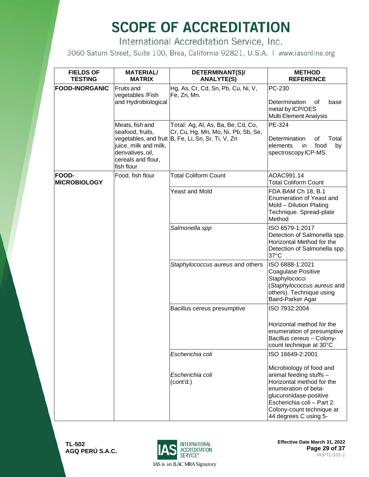International Accreditation Service, Inc.

3060 Saturn Street, Suite 100, Brea, California 92821, U.S.A. | www.iasonline.org

| <b>FIELDS OF</b><br><b>TESTING</b> | <b>MATERIAL/</b><br><b>MATRIX</b>                                                                                     | DETERMINANT(S)/<br><b>ANALYTE(S)</b>                                                                                            | <b>METHOD</b><br><b>REFERENCE</b>                                                                                                                                                                                      |
|------------------------------------|-----------------------------------------------------------------------------------------------------------------------|---------------------------------------------------------------------------------------------------------------------------------|------------------------------------------------------------------------------------------------------------------------------------------------------------------------------------------------------------------------|
| <b>FOOD-INORGANIC</b>              | <b>Fruits and</b><br>vegetables /Fish<br>and Hydrobiological                                                          | Hg, As, Cr, Cd, Sn, Pb, Cu, Ni, V,<br>Fe, Zn, Mn.                                                                               | PC-230<br>Determination<br>0f<br>base<br>metal by ICP/OES<br>Multi Element Analysis                                                                                                                                    |
|                                    | Meats, fish and<br>seafood, fruits,<br>juice, milk and milk,<br>derivatives, oil,<br>cereals and flour,<br>fish flour | Total: Ag, Al, As, Ba, Be, Cd, Co,<br>Cr, Cu, Hg, Mn, Mo, Ni, Pb, Sb, Se,<br>vegetables, and fruit B, Fe, Li, Sn, Sr, Ti, V, Zn | PE-324<br>Determination<br>οf<br>Total<br>food<br>elements<br>by<br>in.<br>spectroscopy ICP-MS.                                                                                                                        |
| FOOD-<br><b>MICROBIOLOGY</b>       | Food, fish flour                                                                                                      | <b>Total Coliform Count</b>                                                                                                     | AOAC991.14<br><b>Total Coliform Count</b>                                                                                                                                                                              |
|                                    |                                                                                                                       | <b>Yeast and Mold</b>                                                                                                           | FDA BAM Ch 18, B.1<br><b>Enumeration of Yeast and</b><br>Mold - Dilution Plating<br>Technique. Spread-plate<br>Method                                                                                                  |
|                                    |                                                                                                                       | Salmonella spp                                                                                                                  | ISO 6579-1:2017<br>Detection of Salmonella spp.<br>Horizontal Method for the<br>Detection of Salmonella spp.<br>37°C                                                                                                   |
|                                    |                                                                                                                       | Staphylococcus aureus and others                                                                                                | ISO 6888-1:2021<br>Coagulase Positive<br>Staphylococci<br>(Staphylococcus aureus and<br>others). Technique using<br>Baird-Parker Agar                                                                                  |
|                                    |                                                                                                                       | Bacillus cereus presumptive                                                                                                     | ISO 7932:2004                                                                                                                                                                                                          |
|                                    |                                                                                                                       |                                                                                                                                 | Horizontal method for the<br>enumeration of presumptive<br>Bacillus cereus - Colony-<br>count technique at 30°C                                                                                                        |
|                                    |                                                                                                                       | Escherichia coli                                                                                                                | ISO 16649-2:2001                                                                                                                                                                                                       |
|                                    |                                                                                                                       | Escherichia coli<br>(cont'd.)                                                                                                   | Microbiology of food and<br>animal feeding stuffs -<br>Horizontal method for the<br>enumeration of beta-<br>glucuronidase-positive<br>Escherichia coli - Part 2:<br>Colony-count technique at<br>44 degrees C using 5- |



**Effective Date March 31, 2022 Page 29 of 37** *IAS/TL/101-1*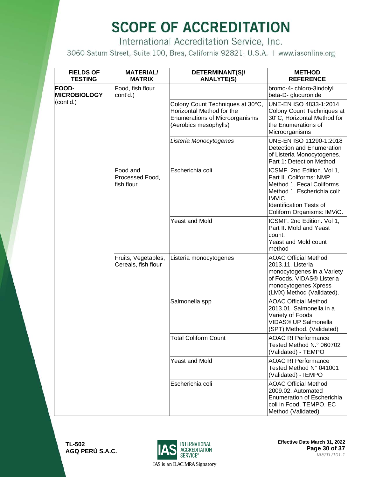International Accreditation Service, Inc.

3060 Saturn Street, Suite 100, Brea, California 92821, U.S.A. | www.iasonline.org

| <b>FIELDS OF</b><br><b>TESTING</b>  | <b>MATERIAL/</b><br><b>MATRIX</b>          | DETERMINANT(S)/<br><b>ANALYTE(S)</b>                                                                                     | <b>METHOD</b><br><b>REFERENCE</b>                                                                                                                                                           |
|-------------------------------------|--------------------------------------------|--------------------------------------------------------------------------------------------------------------------------|---------------------------------------------------------------------------------------------------------------------------------------------------------------------------------------------|
| <b>FOOD-</b><br><b>MICROBIOLOGY</b> | Food, fish flour<br>cont'd.)               |                                                                                                                          | bromo-4- chloro-3indolyl<br>beta-D- glucuronide                                                                                                                                             |
| (cont'd.)                           |                                            | Colony Count Techniques at 30°C,<br>Horizontal Method for the<br>Enumerations of Microorganisms<br>(Aerobics mesophylls) | UNE-EN ISO 4833-1:2014<br>Colony Count Techniques at<br>30°C, Horizontal Method for<br>the Enumerations of<br>Microorganisms                                                                |
|                                     |                                            | Listeria Monocytogenes                                                                                                   | UNE-EN ISO 11290-1:2018<br>Detection and Enumeration<br>of Listeria Monocytogenes.<br>Part 1: Detection Method                                                                              |
|                                     | Food and<br>Processed Food,<br>fish flour  | Escherichia coli                                                                                                         | ICSMF. 2nd Edition. Vol 1,<br>Part II. Coliforms: NMP<br>Method 1. Fecal Coliforms<br>Method 1. Escherichia coli:<br>IMViC.<br><b>Identification Tests of</b><br>Coliform Organisms: IMViC. |
|                                     |                                            | <b>Yeast and Mold</b>                                                                                                    | ICSMF. 2nd Edition. Vol 1,<br>Part II. Mold and Yeast<br>count.<br><b>Yeast and Mold count</b><br>method                                                                                    |
|                                     | Fruits, Vegetables,<br>Cereals, fish flour | Listeria monocytogenes                                                                                                   | <b>AOAC Official Method</b><br>2013.11. Listeria<br>monocytogenes in a Variety<br>of Foods. VIDAS® Listeria<br>monocytogenes Xpress<br>(LMX) Method (Validated).                            |
|                                     |                                            | Salmonella spp                                                                                                           | <b>AOAC Official Method</b><br>2013.01. Salmonella in a<br>Variety of Foods<br>VIDAS® UP Salmonella<br>(SPT) Method. (Validated)                                                            |
|                                     |                                            | <b>Total Coliform Count</b>                                                                                              | <b>AOAC RI Performance</b><br>Tested Method N.º 060702<br>(Validated) - TEMPO                                                                                                               |
|                                     |                                            | <b>Yeast and Mold</b>                                                                                                    | <b>AOAC RI Performance</b><br>Tested Method N° 041001<br>(Validated) - TEMPO                                                                                                                |
|                                     |                                            | Escherichia coli                                                                                                         | <b>AOAC Official Method</b><br>2009.02. Automated<br><b>Enumeration of Escherichia</b><br>coli in Food. TEMPO. EC<br>Method (Validated)                                                     |

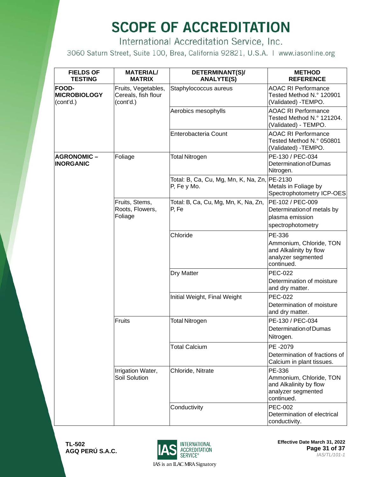International Accreditation Service, Inc.

3060 Saturn Street, Suite 100, Brea, California 92821, U.S.A. | www.iasonline.org

| <b>FIELDS OF</b><br><b>TESTING</b>               | <b>MATERIAL/</b><br><b>MATRIX</b>                       | DETERMINANT(S)/<br><b>ANALYTE(S)</b>                        | <b>METHOD</b><br><b>REFERENCE</b>                                                               |
|--------------------------------------------------|---------------------------------------------------------|-------------------------------------------------------------|-------------------------------------------------------------------------------------------------|
| <b>FOOD-</b><br><b>MICROBIOLOGY</b><br>(cont'd.) | Fruits, Vegetables,<br>Cereals, fish flour<br>(cont'd.) | Staphylococcus aureus                                       | <b>AOAC RI Performance</b><br>Tested Method N.º 120901<br>(Validated) - TEMPO.                  |
|                                                  |                                                         | Aerobics mesophylls                                         | <b>AOAC RI Performance</b><br>Tested Method N.º 121204.<br>(Validated) - TEMPO.                 |
|                                                  |                                                         | Enterobacteria Count                                        | <b>AOAC RI Performance</b><br>Tested Method N.º 050801<br>(Validated) - TEMPO.                  |
| <b>AGRONOMIC-</b><br><b>INORGANIC</b>            | Foliage                                                 | <b>Total Nitrogen</b>                                       | PE-130 / PEC-034<br>Determination of Dumas<br>Nitrogen.                                         |
|                                                  |                                                         | Total: B, Ca, Cu, Mg, Mn, K, Na, Zn, PE-2130<br>P, Fe y Mo. | Metals in Foliage by<br>Spectrophotometry ICP-OES                                               |
|                                                  | Fruits, Stems,<br>Roots, Flowers,<br>Foliage            | Total: B, Ca, Cu, Mg, Mn, K, Na, Zn,<br>P, Fe               | PE-102 / PEC-009<br>Determination of metals by<br>plasma emission<br>spectrophotometry          |
|                                                  |                                                         | Chloride                                                    | PE-336<br>Ammonium, Chloride, TON<br>and Alkalinity by flow<br>analyzer segmented<br>continued. |
|                                                  |                                                         | Dry Matter                                                  | <b>PEC-022</b><br>Determination of moisture<br>and dry matter.                                  |
|                                                  |                                                         | Initial Weight, Final Weight                                | <b>PEC-022</b><br>Determination of moisture<br>and dry matter.                                  |
|                                                  | Fruits                                                  | <b>Total Nitrogen</b>                                       | PE-130 / PEC-034<br>Determination of Dumas<br>Nitrogen.                                         |
|                                                  |                                                         | <b>Total Calcium</b>                                        | PE -2079<br>Determination of fractions of<br>Calcium in plant tissues.                          |
|                                                  | Irrigation Water,<br>Soil Solution                      | Chloride, Nitrate                                           | PE-336<br>Ammonium, Chloride, TON<br>and Alkalinity by flow<br>analyzer segmented<br>continued. |
|                                                  |                                                         | Conductivity                                                | <b>PEC-002</b><br>Determination of electrical<br>conductivity.                                  |



**Effective Date March 31, 2022 Page 31 of 37** *IAS/TL/101-1*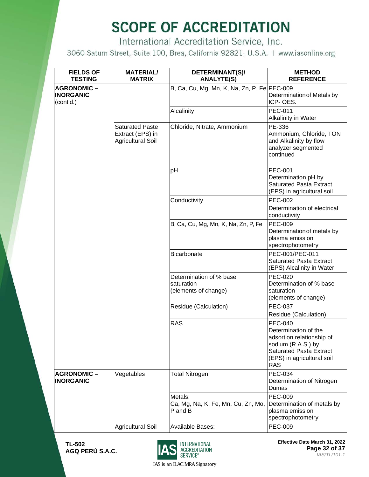International Accreditation Service, Inc.

3060 Saturn Street, Suite 100, Brea, California 92821, U.S.A. | www.iasonline.org

| <b>FIELDS OF</b><br><b>TESTING</b>                 | <b>MATERIAL/</b><br><b>MATRIX</b>                                      | DETERMINANT(S)/<br><b>ANALYTE(S)</b>                          | <b>METHOD</b><br><b>REFERENCE</b>                                                                                                                                       |
|----------------------------------------------------|------------------------------------------------------------------------|---------------------------------------------------------------|-------------------------------------------------------------------------------------------------------------------------------------------------------------------------|
| <b>AGRONOMIC-</b><br><b>INORGANIC</b><br>(cont'd.) |                                                                        | B, Ca, Cu, Mg, Mn, K, Na, Zn, P, Fe PEC-009                   | Determination of Metals by<br>ICP-OES.                                                                                                                                  |
|                                                    |                                                                        | Alcalinity                                                    | <b>PEC-011</b><br>Alkalinity in Water                                                                                                                                   |
|                                                    | <b>Saturated Paste</b><br>Extract (EPS) in<br><b>Agricultural Soil</b> | Chloride, Nitrate, Ammonium                                   | PE-336<br>Ammonium, Chloride, TON<br>and Alkalinity by flow<br>analyzer segmented<br>continued                                                                          |
|                                                    |                                                                        | pH                                                            | <b>PEC-001</b><br>Determination pH by<br><b>Saturated Pasta Extract</b><br>(EPS) in agricultural soil                                                                   |
|                                                    |                                                                        | Conductivity                                                  | <b>PEC-002</b><br>Determination of electrical<br>conductivity                                                                                                           |
|                                                    |                                                                        | B, Ca, Cu, Mg, Mn, K, Na, Zn, P, Fe                           | <b>PEC-009</b><br>Determination of metals by<br>plasma emission<br>spectrophotometry                                                                                    |
|                                                    |                                                                        | <b>Bicarbonate</b>                                            | PEC-001/PEC-011<br><b>Saturated Pasta Extract</b><br>(EPS) Alcalinity in Water                                                                                          |
|                                                    |                                                                        | Determination of % base<br>saturation<br>(elements of change) | <b>PEC-020</b><br>Determination of % base<br>saturation<br>(elements of change)                                                                                         |
|                                                    |                                                                        | Residue (Calculation)                                         | <b>PEC-037</b><br>Residue (Calculation)                                                                                                                                 |
|                                                    |                                                                        | <b>RAS</b>                                                    | <b>PEC-040</b><br>Determination of the<br>adsortion relationship of<br>sodium (R.A.S.) by<br><b>Saturated Pasta Extract</b><br>(EPS) in agricultural soil<br><b>RAS</b> |
| <b>AGRONOMIC-</b><br><b>INORGANIC</b>              | Vegetables                                                             | <b>Total Nitrogen</b>                                         | <b>PEC-034</b><br>Determination of Nitrogen<br>Dumas                                                                                                                    |
|                                                    |                                                                        | Metals:<br>Ca, Mg, Na, K, Fe, Mn, Cu, Zn, Mo,<br>P and B      | <b>PEC-009</b><br>Determination of metals by<br>plasma emission<br>spectrophotometry                                                                                    |
|                                                    | <b>Agricultural Soil</b>                                               | <b>Available Bases:</b>                                       | <b>PEC-009</b>                                                                                                                                                          |

**TL-502 AGQ PERÚ S.A.C.**



**Effective Date March 31, 2022 Page 32 of 37** *IAS/TL/101-1*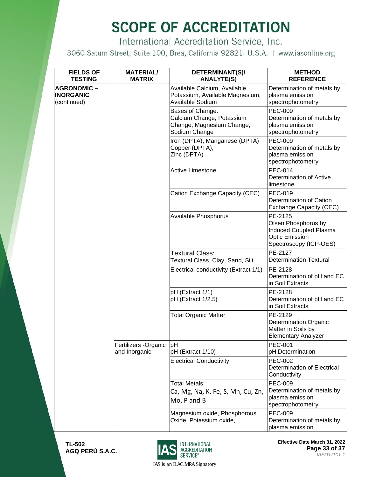International Accreditation Service, Inc.

3060 Saturn Street, Suite 100, Brea, California 92821, U.S.A. | www.iasonline.org

| <b>FIELDS OF</b><br><b>TESTING</b>                   | <b>MATERIAL/</b><br><b>MATRIX</b>      | DETERMINANT(S)/<br><b>ANALYTE(S)</b>                                                        | <b>METHOD</b><br><b>REFERENCE</b>                                                                           |
|------------------------------------------------------|----------------------------------------|---------------------------------------------------------------------------------------------|-------------------------------------------------------------------------------------------------------------|
| <b>AGRONOMIC-</b><br><b>INORGANIC</b><br>(continued) |                                        | Available Calcium, Available<br>Potassium, Available Magnesium,<br>Available Sodium         | Determination of metals by<br>plasma emission<br>spectrophotometry                                          |
|                                                      |                                        | Bases of Change:<br>Calcium Change, Potassium<br>Change, Magnesium Change,<br>Sodium Change | <b>PEC-009</b><br>Determination of metals by<br>plasma emission<br>spectrophotometry                        |
|                                                      |                                        | Iron (DPTA), Manganese (DPTA)<br>Copper (DPTA),<br>Zinc (DPTA)                              | <b>PEC-009</b><br>Determination of metals by<br>plasma emission<br>spectrophotometry                        |
|                                                      |                                        | <b>Active Limestone</b>                                                                     | <b>PEC-014</b><br>Determination of Active<br>limestone                                                      |
|                                                      |                                        | Cation Exchange Capacity (CEC)                                                              | <b>PEC-019</b><br>Determination of Cation<br>Exchange Capacity (CEC)                                        |
|                                                      |                                        | Available Phosphorus                                                                        | PE-2125<br>Olsen Phosphorus by<br>Induced Coupled Plasma<br><b>Optic Emission</b><br>Spectroscopy (ICP-OES) |
|                                                      |                                        | Textural Class:<br>Textural Class, Clay, Sand, Silt                                         | PE-2127<br><b>Determination Textural</b>                                                                    |
|                                                      |                                        | Electrical conductivity (Extract 1/1)                                                       | PE-2128<br>Determination of pH and EC<br>in Soil Extracts                                                   |
|                                                      |                                        | pH (Extract 1/1)<br>pH (Extract 1/2.5)                                                      | PE-2128<br>Determination of pH and EC<br>in Soil Extracts                                                   |
|                                                      |                                        | <b>Total Organic Matter</b>                                                                 | PE-2129<br><b>Determination Organic</b><br>Matter in Soils by<br><b>Elementary Analyzer</b>                 |
|                                                      | Fertilizers - Organic<br>and Inorganic | lрН<br>pH (Extract 1/10)                                                                    | <b>PEC-001</b><br>pH Determination                                                                          |
|                                                      |                                        | <b>Electrical Conductivity</b>                                                              | <b>PEC-002</b><br>Determination of Electrical<br>Conductivity                                               |
|                                                      |                                        | <b>Total Metals:</b><br>Ca, Mg, Na, K, Fe, S, Mn, Cu, Zn,<br>Mo, P and B                    | <b>PEC-009</b><br>Determination of metals by<br>plasma emission<br>spectrophotometry                        |
|                                                      |                                        | Magnesium oxide, Phosphorous<br>Oxide, Potassium oxide,                                     | <b>PEC-009</b><br>Determination of metals by<br>plasma emission                                             |



**Effective Date March 31, 2022 Page 33 of 37** *IAS/TL/101-1*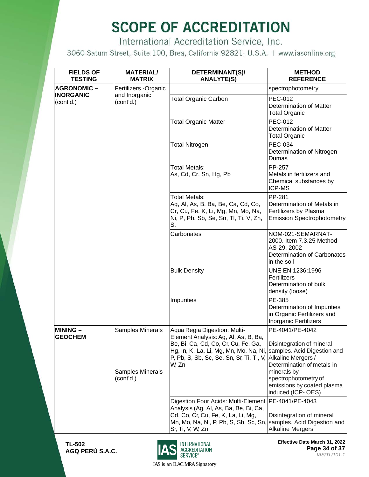International Accreditation Service, Inc.

3060 Saturn Street, Suite 100, Brea, California 92821, U.S.A. | www.iasonline.org

| <b>FIELDS OF</b><br><b>TESTING</b> | <b>MATERIAL/</b><br><b>MATRIX</b>    | DETERMINANT(S)/<br><b>ANALYTE(S)</b>                                                                                                                                                                                                                      | <b>METHOD</b><br><b>REFERENCE</b>                                                                          |
|------------------------------------|--------------------------------------|-----------------------------------------------------------------------------------------------------------------------------------------------------------------------------------------------------------------------------------------------------------|------------------------------------------------------------------------------------------------------------|
| <b>AGRONOMIC-</b>                  | Fertilizers - Organic                |                                                                                                                                                                                                                                                           | spectrophotometry                                                                                          |
| <b>INORGANIC</b><br>(cont'd.)      | and Inorganic<br>(cont'd.)           | <b>Total Organic Carbon</b>                                                                                                                                                                                                                               | <b>PEC-012</b><br><b>Determination of Matter</b><br><b>Total Organic</b>                                   |
|                                    |                                      | <b>Total Organic Matter</b>                                                                                                                                                                                                                               | <b>PEC-012</b><br><b>Determination of Matter</b><br><b>Total Organic</b>                                   |
|                                    |                                      | <b>Total Nitrogen</b>                                                                                                                                                                                                                                     | <b>PEC-034</b><br>Determination of Nitrogen<br>Dumas                                                       |
|                                    |                                      | <b>Total Metals:</b><br>As, Cd, Cr, Sn, Hg, Pb                                                                                                                                                                                                            | <b>PP-257</b><br>Metals in fertilizers and<br>Chemical substances by<br><b>ICP-MS</b>                      |
|                                    |                                      | Total Metals:<br>Ag, Al, As, B, Ba, Be, Ca, Cd, Co,<br>Cr, Cu, Fe, K, Li, Mg, Mn, Mo, Na,<br>Ni, P, Pb, Sb, Se, Sn, Tl, Ti, V, Zn,<br>S.                                                                                                                  | PP-281<br>Determination of Metals in<br>Fertilizers by Plasma<br><b>Emission Spectrophotometry</b>         |
|                                    |                                      | Carbonates                                                                                                                                                                                                                                                | NOM-021-SEMARNAT-<br>2000. Item 7.3.25 Method<br>AS-29. 2002<br>Determination of Carbonates<br>in the soil |
|                                    |                                      | <b>Bulk Density</b>                                                                                                                                                                                                                                       | UNE EN 1236:1996<br>Fertilizers<br>Determination of bulk<br>density (loose)                                |
|                                    |                                      | Impurities                                                                                                                                                                                                                                                | PE-385<br>Determination of Impurities<br>in Organic Fertilizers and<br>Inorganic Fertilizers               |
| <b>MINING -</b><br><b>GEOCHEM</b>  | Samples Minerals                     | Aqua Regia Digestion: Multi-<br>Element Analysis: Ag, Al, As, B, Ba,<br>Be, Bi, Ca, Cd, Co, Cr, Cu, Fe, Ga,<br>Hg, In, K, La, Li, Mg, Mn, Mo, Na, Ni, Samples. Acid Digestion and<br>P, Pb, S, Sb, Sc, Se, Sn, Sr, Ti, Tl, V, Alkaline Mergers /<br>W, Zn | PE-4041/PE-4042<br>Disintegration of mineral<br>Determination of metals in                                 |
|                                    | <b>Samples Minerals</b><br>(cont'd.) |                                                                                                                                                                                                                                                           | minerals by<br>spectrophotometry of<br>emissions by coated plasma<br>induced (ICP-OES).                    |
|                                    |                                      | Digestion Four Acids: Multi-Element<br>Analysis (Ag, Al, As, Ba, Be, Bi, Ca,<br>Cd, Co, Cr, Cu, Fe, K, La, Li, Mg,<br>Mn, Mo, Na, Ni, P, Pb, S, Sb, Sc, Sn, samples. Acid Digestion and<br>Sr, Ti, V, W, Zn                                               | PE-4041/PE-4043<br>Disintegration of mineral<br><b>Alkaline Mergers</b>                                    |



**Effective Date March 31, 2022 Page 34 of 37** *IAS/TL/101-1*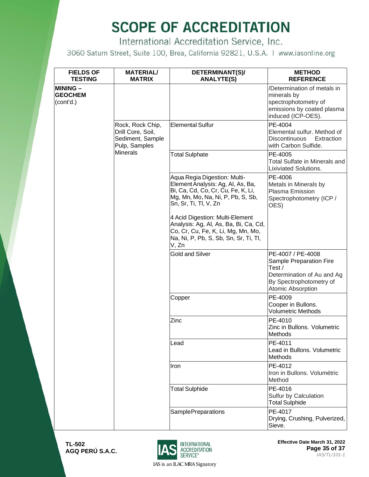International Accreditation Service, Inc.

3060 Saturn Street, Suite 100, Brea, California 92821, U.S.A. | www.iasonline.org

| <b>FIELDS OF</b><br><b>TESTING</b>             | <b>MATERIAL/</b><br><b>MATRIX</b>                                          | DETERMINANT(S)/<br><b>ANALYTE(S)</b>                                                                                                                                  | <b>METHOD</b><br><b>REFERENCE</b>                                                                                                   |
|------------------------------------------------|----------------------------------------------------------------------------|-----------------------------------------------------------------------------------------------------------------------------------------------------------------------|-------------------------------------------------------------------------------------------------------------------------------------|
| <b>MINING –</b><br><b>GEOCHEM</b><br>(cont'd.) |                                                                            |                                                                                                                                                                       | /Determination of metals in<br>minerals by<br>spectrophotometry of<br>emissions by coated plasma<br>induced (ICP-OES).              |
|                                                | Rock, Rock Chip,<br>Drill Core, Soil,<br>Sediment, Sample<br>Pulp, Samples | <b>Elemental Sulfur</b>                                                                                                                                               | PE-4004<br>Elemental sulfur. Method of<br>Discontinuous<br>Extraction<br>with Carbon Sulfide.                                       |
|                                                | <b>Minerals</b>                                                            | <b>Total Sulphate</b>                                                                                                                                                 | PE-4005<br><b>Total Sulfate in Minerals and</b><br><b>Lixiviated Solutions.</b>                                                     |
|                                                |                                                                            | Aqua Regia Digestion: Multi-<br>Element Analysis: Ag, Al, As, Ba,<br>Bi, Ca, Cd, Co, Cr, Cu, Fe, K, Li,<br>Mg, Mn, Mo, Na, Ni, P, Pb, S, Sb,<br>Sn, Sr, Ti, Tl, V, Zn | PE-4006<br>Metals in Minerals by<br>Plasma Emission<br>Spectrophotometry (ICP /<br>OES)                                             |
|                                                |                                                                            | 4 Acid Digestion: Multi-Element<br>Analysis: Ag, Al, As, Ba, Bi, Ca, Cd,<br>Co, Cr, Cu, Fe, K, Li, Mg, Mn, Mo,<br>Na, Ni, P, Pb, S, Sb, Sn, Sr, Ti, Tl,<br>V, Zn      |                                                                                                                                     |
|                                                |                                                                            | <b>Gold and Silver</b>                                                                                                                                                | PE-4007 / PE-4008<br>Sample Preparation Fire<br>Test/<br>Determination of Au and Ag<br>By Spectrophotometry of<br>Atomic Absorption |
|                                                |                                                                            | Copper                                                                                                                                                                | PE-4009<br>Cooper in Bullons.<br><b>Volumetric Methods</b>                                                                          |
|                                                |                                                                            | Zinc                                                                                                                                                                  | PE-4010<br>Zinc in Bullons. Volumetric<br>Methods                                                                                   |
|                                                |                                                                            | Lead                                                                                                                                                                  | PE-4011<br>Lead in Bullons. Volumetric<br><b>Methods</b>                                                                            |
|                                                |                                                                            | Iron                                                                                                                                                                  | PE-4012<br>Iron in Bullons, Volumétric<br>Method                                                                                    |
|                                                |                                                                            | <b>Total Sulphide</b>                                                                                                                                                 | PE-4016<br>Sulfur by Calculation<br><b>Total Sulphide</b>                                                                           |
|                                                |                                                                            | <b>SamplePreparations</b>                                                                                                                                             | PE-4017<br>Drying, Crushing, Pulverized,<br>Sieve.                                                                                  |



**Effective Date March 31, 2022 Page 35 of 37** *IAS/TL/101-1*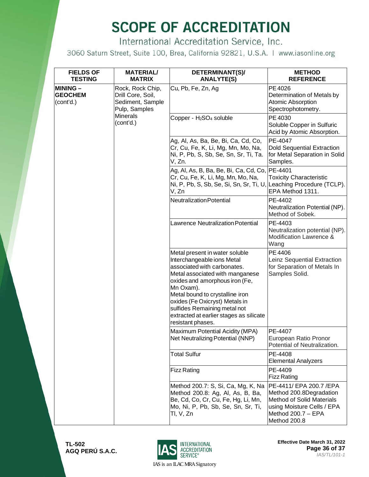International Accreditation Service, Inc.

3060 Saturn Street, Suite 100, Brea, California 92821, U.S.A. | www.iasonline.org

| <b>FIELDS OF</b><br><b>TESTING</b>            | <b>MATERIAL/</b><br><b>MATRIX</b>                                          | DETERMINANT(S)/<br><b>ANALYTE(S)</b>                                                                                                                                                                                                                                                                                                               | <b>METHOD</b><br><b>REFERENCE</b>                                                                                                                          |
|-----------------------------------------------|----------------------------------------------------------------------------|----------------------------------------------------------------------------------------------------------------------------------------------------------------------------------------------------------------------------------------------------------------------------------------------------------------------------------------------------|------------------------------------------------------------------------------------------------------------------------------------------------------------|
| <b>MINING-</b><br><b>GEOCHEM</b><br>(cont'd.) | Rock, Rock Chip,<br>Drill Core, Soil,<br>Sediment, Sample<br>Pulp, Samples | Cu, Pb, Fe, Zn, Ag                                                                                                                                                                                                                                                                                                                                 | PE 4026<br>Determination of Metals by<br>Atomic Absorption<br>Spectrophotometry.                                                                           |
|                                               | <b>Minerals</b><br>(cont'd.)                                               | Copper - H <sub>2</sub> SO <sub>4</sub> soluble                                                                                                                                                                                                                                                                                                    | PE 4030<br>Soluble Copper in Sulfuric<br>Acid by Atomic Absorption.                                                                                        |
|                                               |                                                                            | Ag, Al, As, Ba, Be, Bi, Ca, Cd, Co,<br>Cr, Cu, Fe, K, Li, Mg, Mn, Mo, Na,<br>Ni, P, Pb, S, Sb, Se, Sn, Sr, Ti, Ta.<br>V, Zn.                                                                                                                                                                                                                       | PE-4047<br><b>Dold Sequential Extraction</b><br>for Metal Separation in Solid<br>Samples.                                                                  |
|                                               |                                                                            | Ag, Al, As, B, Ba, Be, Bi, Ca, Cd, Co, PE-4401<br>Cr, Cu, Fe, K, Li, Mg, Mn, Mo, Na,<br>Ni, P, Pb, S, Sb, Se, Si, Sn, Sr, Ti, U,<br>V, Zn                                                                                                                                                                                                          | <b>Toxicity Characteristic</b><br>Leaching Procedure (TCLP).<br>EPA Method 1311.                                                                           |
|                                               |                                                                            | <b>Neutralization Potential</b>                                                                                                                                                                                                                                                                                                                    | PE-4402<br>Neutralization Potential (NP).<br>Method of Sobek.                                                                                              |
|                                               |                                                                            | <b>Lawrence Neutralization Potential</b>                                                                                                                                                                                                                                                                                                           | PE-4403<br>Neutralization potential (NP).<br>Modification Lawrence &<br>Wang                                                                               |
|                                               |                                                                            | Metal present in water soluble<br>Interchangeable ions Metal<br>associated with carbonates.<br>Metal associated with manganese<br>oxides and amorphous iron (Fe,<br>Mn Oxam).<br>Metal bound to crystalline iron<br>oxides (Fe Oxicryst) Metals in<br>sulfides Remaining metal not<br>extracted at earlier stages as silicate<br>resistant phases. | PE 4406<br>Leinz Sequential Extraction<br>for Separation of Metals In<br>Samples Solid.                                                                    |
|                                               |                                                                            | Maximum Potential Acidity (MPA)<br>Net Neutralizing Potential (NNP)                                                                                                                                                                                                                                                                                | PE-4407<br>European Ratio Pronor<br>Potential of Neutralization.                                                                                           |
|                                               |                                                                            | <b>Total Sulfur</b>                                                                                                                                                                                                                                                                                                                                | PE-4408<br><b>Elemental Analyzers</b>                                                                                                                      |
|                                               |                                                                            | <b>Fizz Rating</b>                                                                                                                                                                                                                                                                                                                                 | PE-4409<br><b>Fizz Rating</b>                                                                                                                              |
|                                               |                                                                            | Method 200.7: S, Si, Ca, Mg, K, Na<br>Method 200.8: Ag, Al, As, B, Ba,<br>Be, Cd, Co, Cr, Cu, Fe, Hg, Li, Mn,<br>Mo, Ni, P, Pb, Sb, Se, Sn, Sr, Ti,<br>Tl, V, Zn                                                                                                                                                                                   | PE-4411/ EPA 200.7 /EPA<br>Method 200.8Degradation<br><b>Method of Solid Materials</b><br>using Moisture Cells / EPA<br>Method 200.7 - EPA<br>Method 200.8 |



**Effective Date March 31, 2022 Page 36 of 37** *IAS/TL/101-1*